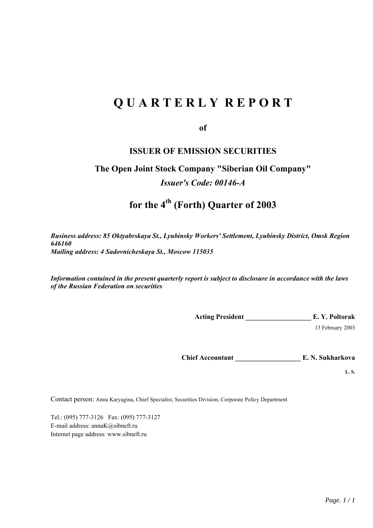# **Q U A R T E R L Y R E P O R T**

**of** 

# **ISSUER OF EMISSION SECURITIES**

# **The Open Joint Stock Company "Siberian Oil Company"**  *Issuer's Code: 00146-А*

# **for the 4th (Forth) Quarter of 2003**

*Business address: 85 Oktyabrskaya St., Lyubinsky Workers' Settlement, Lyubinsky District, Omsk Region 646160 Mailing address: 4 Sadovnicheskaya St., Moscow 115035* 

*Information contained in the present quarterly report is subject to disclosure in accordance with the laws of the Russian Federation on securities* 

**Acting President \_\_\_\_\_\_\_\_\_\_\_\_\_\_\_\_\_\_\_ E. Y. Poltorak** 

13 February 2003

**Chief Accountant \_\_\_\_\_\_\_\_\_\_\_\_\_\_\_\_\_\_\_ E. N. Sukharkova** 

**L. S.** 

Contact person: Anna Karyagina, Chief Specialist, Securities Division, Corporate Policy Department

Tel.: (095) 777-3126 Fax: (095) 777-3127 E-mail address: annaK@sibneft.ru Internet page address: www.sibneft.ru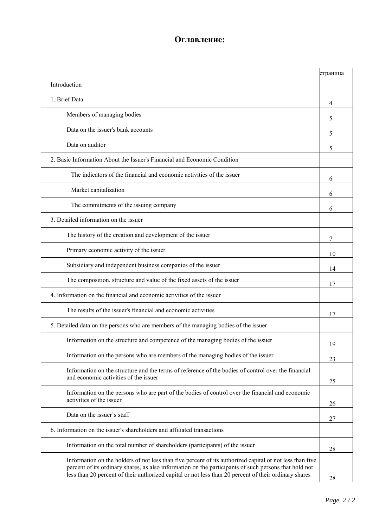# **Оглавление:**

|                                                                                                                                                                                                                                                                                                                            | страница |
|----------------------------------------------------------------------------------------------------------------------------------------------------------------------------------------------------------------------------------------------------------------------------------------------------------------------------|----------|
| Introduction                                                                                                                                                                                                                                                                                                               |          |
| 1. Brief Data                                                                                                                                                                                                                                                                                                              | 4        |
| Members of managing bodies                                                                                                                                                                                                                                                                                                 | 5        |
| Data on the issuer's bank accounts                                                                                                                                                                                                                                                                                         | 5        |
| Data on auditor                                                                                                                                                                                                                                                                                                            | 5        |
| 2. Basic Information About the Issuer's Financial and Economic Condition                                                                                                                                                                                                                                                   |          |
| The indicators of the financial and economic activities of the issuer                                                                                                                                                                                                                                                      | 6        |
| Market capitalization                                                                                                                                                                                                                                                                                                      | 6        |
| The commitments of the issuing company                                                                                                                                                                                                                                                                                     | 6        |
| 3. Detailed information on the issuer                                                                                                                                                                                                                                                                                      |          |
| The history of the creation and development of the issuer                                                                                                                                                                                                                                                                  | 7        |
| Primary economic activity of the issuer                                                                                                                                                                                                                                                                                    | 10       |
| Subsidiary and independent business companies of the issuer                                                                                                                                                                                                                                                                | 14       |
| The composition, structure and value of the fixed assets of the issuer                                                                                                                                                                                                                                                     | 17       |
| 4. Information on the financial and economic activities of the issuer                                                                                                                                                                                                                                                      |          |
| The results of the issuer's financial and economic activities                                                                                                                                                                                                                                                              | 17       |
| 5. Detailed data on the persons who are members of the managing bodies of the issuer                                                                                                                                                                                                                                       |          |
| Information on the structure and competence of the managing bodies of the issuer                                                                                                                                                                                                                                           | 19       |
| Information on the persons who are members of the managing bodies of the issuer                                                                                                                                                                                                                                            | 23       |
| Information on the structure and the terms of reference of the bodies of control over the financial<br>and economic activities of the issuer                                                                                                                                                                               | 25       |
| Information on the persons who are part of the bodies of control over the financial and economic<br>activities of the issuer                                                                                                                                                                                               | 26       |
| Data on the issuer's staff                                                                                                                                                                                                                                                                                                 | 27       |
| 6. Information on the issuer's shareholders and affiliated transactions                                                                                                                                                                                                                                                    |          |
| Information on the total number of shareholders (participants) of the issuer                                                                                                                                                                                                                                               | 28       |
| Information on the holders of not less than five percent of its authorized capital or not less than five<br>percent of its ordinary shares, as also information on the participants of such persons that hold not<br>less than 20 percent of their authorized capital or not less than 20 percent of their ordinary shares | 28       |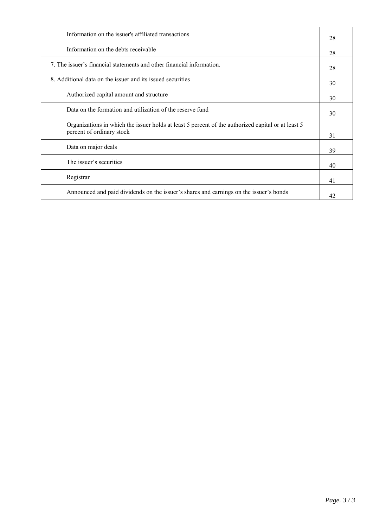| Information on the issuer's affiliated transactions                                                                             | 28 |
|---------------------------------------------------------------------------------------------------------------------------------|----|
| Information on the debts receivable                                                                                             | 28 |
| 7. The issuer's financial statements and other financial information.                                                           | 28 |
| 8. Additional data on the issuer and its issued securities                                                                      | 30 |
| Authorized capital amount and structure                                                                                         | 30 |
| Data on the formation and utilization of the reserve fund                                                                       | 30 |
| Organizations in which the issuer holds at least 5 percent of the authorized capital or at least 5<br>percent of ordinary stock | 31 |
| Data on major deals                                                                                                             | 39 |
| The issuer's securities                                                                                                         | 40 |
| Registrar                                                                                                                       | 41 |
| Announced and paid dividends on the issuer's shares and earnings on the issuer's bonds                                          | 42 |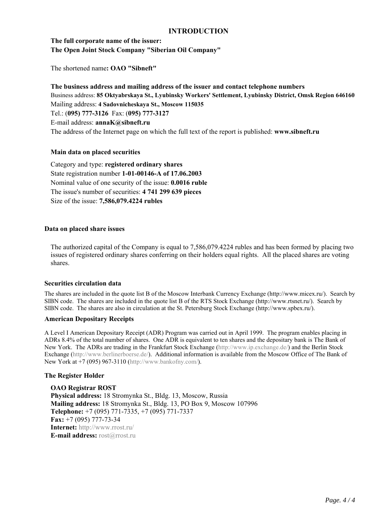# **INTRODUCTION**

# **The full corporate name of the issuer: The Open Joint Stock Company "Siberian Oil Company"**

The shortened name**: OAO "Sibneft"** 

**The business address and mailing address of the issuer and contact telephone numbers**  Business address: **85 Oktyabrskaya St., Lyubinsky Workers' Settlement, Lyubinsky District, Omsk Region 646160**  Mailing address: **4 Sadovnicheskaya St., Moscow 115035** Tel.: (**095) 777-3126** Fax: (**095) 777-3127** E-mail address: **annaK@sibneft.ru** The address of the Internet page on which the full text of the report is published: **www.sibneft.ru** 

# **Main data on placed securities**

Category and type: **registered ordinary shares** State registration number **1-01-00146-А of 17.06.2003** Nominal value of one security of the issue: **0.0016 ruble**  The issue's number of securities: **4 741 299 639 pieces** Size of the issue: **7,586,079.4224 rubles** 

### **Data on placed share issues**

The authorized capital of the Company is equal to 7,586,079.4224 rubles and has been formed by placing two issues of registered ordinary shares conferring on their holders equal rights. All the placed shares are voting shares.

### **Securities circulation data**

The shares are included in the quote list B of the Moscow Interbank Currency Exchange (http://www.micex.ru/). Search by SIBN code. The shares are included in the quote list B of the RTS Stock Exchange (http://www.rtsnet.ru/). Search by SIBN code. The shares are also in circulation at the St. Petersburg Stock Exchange (http://www.spbex.ru/).

### **American Depositary Receipts**

A Level I American Depositary Receipt (ADR) Program was carried out in April 1999. The program enables placing in ADRs 8.4% of the total number of shares. One ADR is equivalent to ten shares and the depositary bank is The Bank of New York. The ADRs are trading in the Frankfurt Stock Exchange (http://www.ip.exchange.de/) and the Berlin Stock Exchange (http://www.berlinerboerse.de/). Additional information is available from the Moscow Office of The Bank of New York at +7 (095) 967-3110 (http://www.bankofny.com/).

### **The Register Holder**

**OAO Registrar ROST Physical address:** 18 Stromynka St., Bldg. 13, Moscow, Russia **Mailing address:** 18 Stromynka St., Bldg. 13, PO Box 9, Moscow 107996 **Telephone:** +7 (095) 771-7335, +7 (095) 771-7337 **Fax:** +7 (095) 777-73-34 **Internet:** http://www.rrost.ru/ **E-mail address:** rost@rrost.ru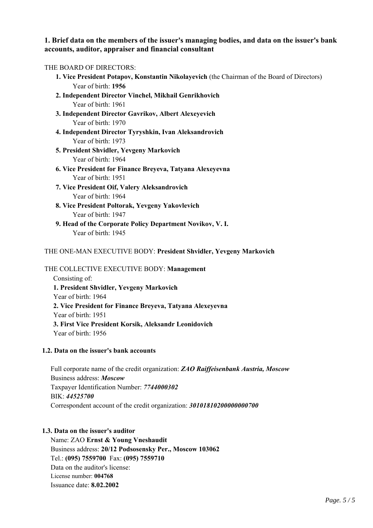# **1. Brief data on the members of the issuer's managing bodies, and data on the issuer's bank accounts, auditor, appraiser and financial consultant**

# THE BOARD OF DIRECTORS:

| THE BUAKIJ UF IJIKEUTUKS:                                                                   |
|---------------------------------------------------------------------------------------------|
| 1. Vice President Potapov, Konstantin Nikolayevich (the Chairman of the Board of Directors) |
| Year of birth: 1956                                                                         |
| 2. Independent Director Vinchel, Mikhail Genrikhovich                                       |
| Year of birth: 1961                                                                         |
| 3. Independent Director Gavrikov, Albert Alexeyevich                                        |
| Year of birth: 1970                                                                         |
| 4. Independent Director Tyryshkin, Ivan Aleksandrovich                                      |
| Year of birth: 1973                                                                         |
| 5. President Shvidler, Yevgeny Markovich                                                    |
| Year of birth: 1964                                                                         |
| 6. Vice President for Finance Breyeva, Tatyana Alexeyevna                                   |
| Year of birth: 1951                                                                         |
| 7. Vice President Oif, Valery Aleksandrovich                                                |
| Year of birth: 1964                                                                         |
| 8. Vice President Poltorak, Yevgeny Yakovlevich                                             |
| Year of birth: 1947                                                                         |
| 9. Head of the Corporate Policy Department Novikov, V. I.                                   |
| Year of birth: 1945                                                                         |
|                                                                                             |
| THE ONE-MAN EXECUTIVE BODY: President Shvidler, Yevgeny Markovich                           |
|                                                                                             |

# THE COLLECTIVE EXECUTIVE BODY: **Management**

Consisting of: **1. President Shvidler, Yevgeny Markovich** Year of birth: 1964 **2. Vice President for Finance Breyeva, Tatyana Alexeyevna** Year of birth: 1951 **3. First Vice President Korsik, Aleksandr Leonidovich**  Year of birth: 1956

# **1.2. Data on the issuer's bank accounts**

Full corporate name of the credit organization: *ZAO Raiffeisenbank Austria, Moscow*  Business address: *Moscow*  Taxpayer Identification Number: *7744000302* BIK: *44525700*  Correspondent account of the credit organization: *30101810200000000700*

# **1.3. Data on the issuer's auditor**

Name: ZAO **Ernst & Young Vneshaudit**  Business address: **20/12 Podsosensky Per., Moscow 103062**  Tel.: **(095) 7559700** Fax: **(095) 7559710**  Data on the auditor's license: License number: **004768**  Issuance date: **8.02.2002**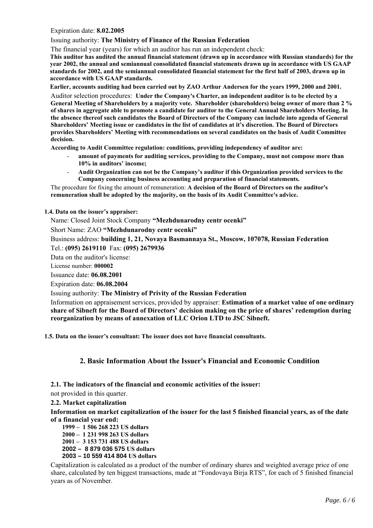Expiration date: **8.02.2005** 

#### Issuing authority: **The Ministry of Finance of the Russian Federation**

The financial year (years) for which an auditor has run an independent check:

**This auditor has audited the annual financial statement (drawn up in accordance with Russian standards) for the year 2002, the annual and semiannual consolidated financial statements drawn up in accordance with US GAAP standards for 2002, and the semiannual consolidated financial statement for the first half of 2003, drawn up in accordance with US GAAP standards.** 

**Earlier, accounts auditing had been carried out by ZAO Arthur Andersen for the years 1999, 2000 and 2001.** 

Auditor selection procedures: **Under the Company's Charter, an independent auditor is to be elected by a General Meeting of Shareholders by a majority vote. Shareholder (shareholders) being owner of more than 2 % of shares in aggregate able to promote a candidate for auditor to the General Annual Shareholders Meeting. In the absence thereof such candidates the Board of Directors of the Company can include into agenda of General Shareholders' Meeting issue or candidates in the list of candidates at it's discretion. The Board of Directors provides Shareholders' Meeting with recommendations on several candidates on the basis of Audit Committee decision.** 

**According to Audit Committee regulation: conditions, providing independency of auditor are:** 

- **amount of payments for auditing services, providing to the Company, must not compose more than 10% in auditors' income;**
- **Audit Organization can not be the Company's auditor if this Organization provided services to the Company concerning business accounting and preparation of financial statements.**

The procedure for fixing the amount of remuneration: **A decision of the Board of Directors on the auditor's remuneration shall be adopted by the majority, on the basis of its Audit Committee's advice.** 

# **1.4. Data on the issuer's appraiser:**

Name: Closed Joint Stock Company **"Mezhdunarodny centr ocenki"**

Short Name: ZAO **"Mezhdunarodny centr ocenki"** 

Business address: **building 1, 21, Novaya Basmannaya St., Moscow, 107078, Russian Federation**  Tel.: **(095) 2619110** Fax: **(095) 2679936** 

Data on the auditor's license:

License number: **000002** 

Issuance date: **06.08.2001** 

Expiration date: **06.08.2004** 

Issuing authority: **The Ministry of Privity of the Russian Federation** 

Information on appraisement services, provided by appraiser: **Estimation of a market value of one ordinary share of Sibneft for the Board of Directors' decision making on the price of shares' redemption during reorganization by means of annexation of LLC Orion LTD to JSC Sibneft.** 

**1.5. Data on the issuer's consultant: The issuer does not have financial consultants.** 

# **2. Basic Information About the Issuer's Financial and Economic Condition**

- **2.1. The indicators of the financial and economic activities of the issuer:**
- not provided in this quarter.

**2.2. Market capitalization** 

**Information on market capitalization of the issuer for the last 5 finished financial years, as of the date of a financial year end:** 

**1999 – 1 506 268 223 US dollars** 

**2000 – 1 231 998 263 US dollars** 

**2001 – 3 153 731 488 US dollars** 

**2002 – 8 879 036 575 US dollars** 

**2003 – 10 559 414 804 US dollars**

Capitalization is calculated as a product of the number of ordinary shares and weighted average price of one share, calculated by ten biggest transactions, made at "Fondovaya Birja RTS", for each of 5 finished financial years as of November.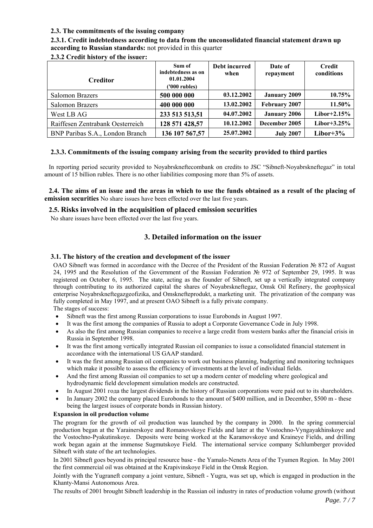# **2.3. The commitments of the issuing company**

**2.3.1. Credit indebtedness according to data from the unconsolidated financial statement drawn up according to Russian standards:** not provided in this quarter

| <b>Creditor</b>                  | Sum of<br>indebtedness as on<br>01.01.2004<br>('000 rubles) | Debt incurred<br>when | Date of<br>repayment | <b>Credit</b><br>conditions |
|----------------------------------|-------------------------------------------------------------|-----------------------|----------------------|-----------------------------|
| Salomon Brazers                  | 500 000 000                                                 | 03.12.2002            | <b>January 2009</b>  | 10.75%                      |
| <b>Salomon Brazers</b>           | 400 000 000                                                 | 13.02.2002            | February 2007        | 11.50%                      |
| West LB AG                       | 233 513 513,51                                              | 04.07.2002            | <b>January 2006</b>  | Libor+2.15 $%$              |
| Raiffesen Zentrabank Oesterreich | 128 571 428,57                                              | 10.12.2002            | December 2005        | Libor+3.25%                 |
| BNP Paribas S.A., London Branch  | 136 107 567,57                                              | 25.07.2002            | <b>July 2007</b>     | Libor+ $3\%$                |

**2.3.2 Credit history of the issuer:** 

# **2.3.3. Commitments of the issuing company arising from the security provided to third parties**

In reporting period security provided to Noyabrskneftecombank on credits to JSC "Sibneft-Noyabrskneftegaz" in total amount of 15 billion rubles. There is no other liabilities composing more than 5% of assets.

**2.4. The aims of an issue and the areas in which to use the funds obtained as a result of the placing of emission securities** No share issues have been effected over the last five years.

### **2.5. Risks involved in the acquisition of placed emission securities**

No share issues have been effected over the last five years.

# **3. Detailed information on the issuer**

### **3.1. The history of the creation and development of the issuer**

ОАО Sibneft was formed in accordance with the Decree of the President of the Russian Federation № 872 of August 24, 1995 and the Resolution of the Government of the Russian Federation № 972 of September 29, 1995. It was registered on October 6, 1995. The state, acting as the founder of Sibneft, set up a vertically integrated company through contributing to its authorized capital the shares of Noyabrskneftegaz, Omsk Oil Refinery, the geophysical enterprise Noyabrskneftegazgeofizika, and Omsknefteprodukt, a marketing unit. The privatization of the company was fully completed in May 1997, and at present OAO Sibneft is a fully private company.

The stages of success:

- Sibneft was the first among Russian corporations to issue Eurobonds in August 1997.
- It was the first among the companies of Russia to adopt a Corporate Governance Code in July 1998.
- As also the first among Russian companies to receive a large credit from western banks after the financial crisis in Russia in September 1998.
- It was the first among vertically integrated Russian oil companies to issue a consolidated financial statement in accordance with the international US GAAP standard.
- It was the first among Russian oil companies to work out business planning, budgeting and monitoring techniques which make it possible to assess the efficiency of investments at the level of individual fields.
- And the first among Russian oil companies to set up a modern center of modeling where geological and hydrodynamic field development simulation models are constructed.
- In August 2001 года the largest dividends in the history of Russian corporations were paid out to its shareholders.
- In January 2002 the company placed Eurobonds to the amount of \$400 million, and in December, \$500 m these being the largest issues of corporate bonds in Russian history.

#### **Expansion in oil production volume**

The program for the growth of oil production was launched by the company in 2000. In the spring commercial production began at the Yarainerskoye and Romanovskoye Fields and later at the Vostochno-Vyngayakhinskoye and the Vostochno-Pyakutinskoye. Deposits were being worked at the Karamovskoye and Kraineye Fields, and drilling work began again at the immense Sugmutskoye Field. The international service company Schlumberger provided Sibneft with state of the art technologies.

In 2001 Sibneft goes beyond its principal resource base - the Yamalo-Nenets Area of the Tyumen Region. In May 2001 the first commercial oil was obtained at the Krapivinskoye Field in the Omsk Region.

Jointly with the Yugraneft company a joint venture, Sibneft - Yugra, was set up, which is engaged in production in the Khanty-Mansi Autonomous Area.

The results of 2001 brought Sibneft leadership in the Russian oil industry in rates of production volume growth (without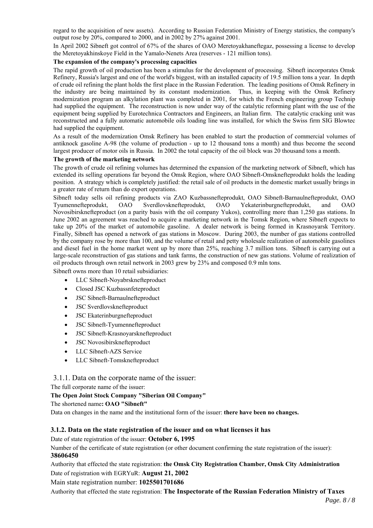regard to the acquisition of new assets). According to Russian Federation Ministry of Energy statistics, the company's output rose by 20%, compared to 2000, and in 2002 by 27% against 2001.

In April 2002 Sibneft got control of 67% of the shares of OAO Meretoyakhaneftegaz, possessing a license to develop the Meretoyakhinskoye Field in the Yamalo-Nenets Area (reserves - 121 million tons).

### **The expansion of the company's processing capacities**

The rapid growth of oil production has been a stimulus for the development of processing. Sibneft incorporates Omsk Refinery, Russia's largest and one of the world's biggest, with an installed capacity of 19.5 million tons a year. In depth of crude oil refining the plant holds the first place in the Russian Federation. The leading positions of Omsk Refinery in the industry are being maintained by its constant modernization. Thus, in keeping with the Omsk Refinery modernization program an alkylation plant was completed in 2001, for which the French engineering group Technip had supplied the equipment. The reconstruction is now under way of the catalytic reforming plant with the use of the equipment being supplied by Eurotechnica Contractors and Engineers, an Italian firm. The catalytic cracking unit was reconstructed and a fully automatic automobile oils loading line was installed, for which the Swiss firm SIG Blowtec had supplied the equipment.

As a result of the modernization Omsk Refinery has been enabled to start the production of commercial volumes of antiknock gasoline А-98 (the volume of production - up to 12 thousand tons a month) and thus become the second largest producer of motor oils in Russia. In 2002 the total capacity of the oil block was 20 thousand tons a month.

#### **The growth of the marketing network**

The growth of crude oil refining volumes has determined the expansion of the marketing network of Sibneft, which has extended its selling operations far beyond the Omsk Region, where ОАО Sibneft-Omsknefteprodukt holds the leading position. A strategy which is completely justified: the retail sale of oil products in the domestic market usually brings in a greater rate of return than do export operations.

Sibneft today sells oil refining products via ZAO Kuzbassnefteprodukt, ОАО Sibneft-Barnaulnefteprodukt, ОАО Tyumennefteprodukt, ОАО Sverdlovsknefteprodukt, ОАО Yekaterinburgnefteprodukt, and ОАО Novosibirsknefteproduct (on a parity basis with the oil company Yukos), controlling more than 1,250 gas stations. In June 2002 an agreement was reached to acquire a marketing network in the Tomsk Region, where Sibneft expects to take up 20% of the market of automobile gasoline. A dealer network is being formed in Krasnoyarsk Territory. Finally, Sibneft has opened a network of gas stations in Moscow. During 2003, the number of gas stations controlled by the company rose by more than 100, and the volume of retail and petty wholesale realization of automobile gasolines and diesel fuel in the home market went up by more than 25%, reaching 3.7 million tons. Sibneft is carrying out a large-scale reconstruction of gas stations and tank farms, the construction of new gas stations. Volume of realization of oil products through own retail network in 2003 grew by 23% and composed 0.9 mln tons.

Sibneft owns more than 10 retail subsidiaries:

- LLC Sibneft-Noyabrsknefteproduct
- Closed JSC Kuzbassnfeteproduct
- JSC Sibneft-Barnaulnefteproduct
- JSC Sverdlovsknefteproduct
- **JSC Ekaterinburgnefteproduct**
- JSC Sibneft-Tyumennefteproduct
- JSC Sibneft-Krasnoyarsknefteproduct
- JSC Novosibirsknefteproduct
- LLC Sibneft-AZS Service
- LLC Sibneft-Tomsknefteproduct

3.1.1. Data on the corporate name of the issuer:

The full corporate name of the issuer:

#### **The Open Joint Stock Company "Siberian Oil Company"**

The shortened name**: OAO "Sibneft"** 

Data on changes in the name and the institutional form of the issuer: **there have been no changes.** 

#### **3.1.2. Data on the state registration of the issuer and on what licenses it has**

#### Date of state registration of the issuer: **October 6, 1995**

Number of the certificate of state registration (or other document confirming the state registration of the issuer): **38606450**

Authority that effected the state registration: **the Omsk City Registration Chamber, Omsk City Administration** Date of registration with EGRYuR: **August 21, 2002**

Main state registration number: **1025501701686** 

Authority that effected the state registration: **The Inspectorate of the Russian Federation Ministry of Taxes**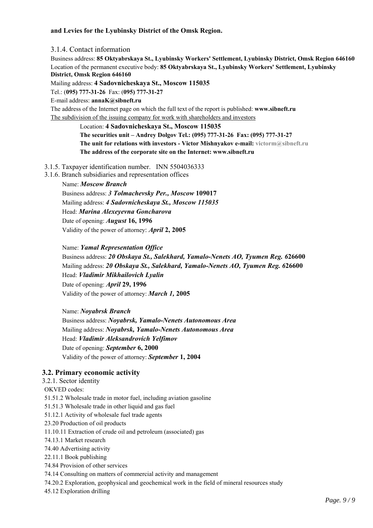# **and Levies for the Lyubinsky District of the Omsk Region.**

3.1.4. Contact information Business address: **85 Oktyabrskaya St., Lyubinsky Workers' Settlement, Lyubinsky District, Omsk Region 646160** Location of the permanent executive body: **85 Oktyabrskaya St., Lyubinsky Workers' Settlement, Lyubinsky District, Omsk Region 646160**

Mailing address: **4 Sadovnicheskaya St., Moscow 115035**

Tel.: (**095) 777-31-26** Fax: (**095) 777-31-27**

E-mail address: **annaK@sibneft.ru**

The address of the Internet page on which the full text of the report is published: **www.sibneft.ru**  The subdivision of the issuing company for work with shareholders and investors

> Location: **4 Sadovnicheskaya St., Moscow 115035 The securities unit – Andrey Dolgov Tel.: (095) 777-31-26 Fax: (095) 777-31-27 The unit for relations with investors - Victor Mishnyakov e-mail: victorm@sibneft.ru The address of the corporate site on the Internet: www.sibneft.ru**

### 3.1.5. Taxpayer identification number. INN 5504036333

3.1.6. Branch subsidiaries and representation offices

#### Name: *Moscow Branch*

Business address: *3 Tolmachevsky Per., Moscow* **109017** Mailing address: *4 Sadovnicheskaya St., Moscow 115035* Head: *Marina Alexeyevna Goncharova* Date of opening: *August* **16, 1996** Validity of the power of attorney: *April* **2, 2005**

#### Name: *Yamal Representation Office*

Business address: *20 Obskaya St., Salekhard, Yamalo-Nenets AO, Tyumen Reg. 6***26600** Mailing address: *20 Obskaya St., Salekhard, Yamalo-Nenets AO, Tyumen Reg. 6***26600** Head: *Vladimir Mikhailovich Lyalin* Date of opening: *April* **29, 1996** Validity of the power of attorney: *March 1,* **2005**

Name: *Noyabrsk Branch*

Business address: *Noyabrsk, Yamalo-Nenets Autonomous Area* Mailing address: *Noyabrsk, Yamalo-Nenets Autonomous Area* Head: *Vladimir Aleksandrovich Yelfimov* Date of opening: *September* **6, 2000** Validity of the power of attorney: *September* **1, 2004**

### **3.2. Primary economic activity**

3.2.1. Sector identity OKVED codes: 51.51.2 Wholesale trade in motor fuel, including aviation gasoline 51.51.3 Wholesale trade in other liquid and gas fuel 51.12.1 Activity of wholesale fuel trade agents 23.20 Production of oil products 11.10.11 Extraction of crude oil and petroleum (associated) gas 74.13.1 Market research

74.40 Advertising activity

22.11.1 Book publishing

74.84 Provision of other services

74.14 Consulting on matters of commercial activity and management

74.20.2 Exploration, geophysical and geochemical work in the field of mineral resources study

45.12 Exploration drilling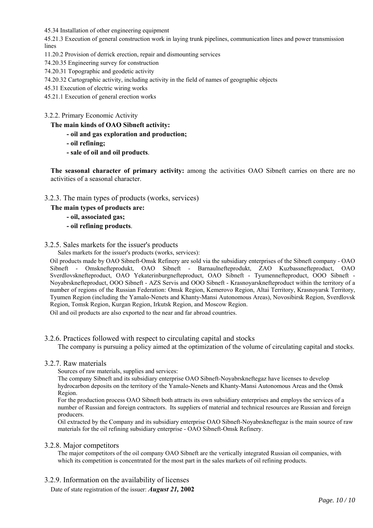45.34 Installation of other engineering equipment

45.21.3 Execution of general construction work in laying trunk pipelines, communication lines and power transmission lines

- 11.20.2 Provision of derrick erection, repair and dismounting services
- 74.20.35 Engineering survey for construction
- 74.20.31 Topographic and geodetic activity
- 74.20.32 Cartographic activity, including activity in the field of names of geographic objects
- 45.31 Execution of electric wiring works
- 45.21.1 Execution of general erection works
- 3.2.2. Primary Economic Activity

**The main kinds of OAO Sibneft activity:** 

- **oil and gas exploration and production;**
- **oil refining;**
- **sale of oil and oil products**.

**The seasonal character of primary activity:** among the activities OAO Sibneft carries on there are no activities of a seasonal character.

- 3.2.3. The main types of products (works, services)
	- **The main types of products are:** 
		- **oil, associated gas;**
		- **oil refining products**.

# 3.2.5. Sales markets for the issuer's products

Sales markets for the issuer's products (works, services):

Oil products made by ОАО Sibneft-Omsk Refinery are sold via the subsidiary enterprises of the Sibneft company - ОАО Sibneft - Omsknefteprodukt, ОАО Sibneft - Barnaulnefteprodukt, ZAO Kuzbassnefteproduct, ОАО Sverdlovsknefteproduct, ОАО Yekaterinburgnefteproduct, ОАО Sibneft - Tyumennefteproduct, ООО Sibneft - Noyabrsknefteproduct, OOO Sibneft - AZS Servis and ООО Sibneft - Krasnoyarsknefteproduct within the territory of a number of regions of the Russian Federation: Omsk Region, Kemerovo Region, Altai Territory, Krasnoyarsk Territory, Tyumen Region (including the Yamalo-Nenets and Khanty-Mansi Autonomous Areas), Novosibirsk Region, Sverdlovsk Region, Tomsk Region, Kurgan Region, Irkutsk Region, and Moscow Region.

Oil and oil products are also exported to the near and far abroad countries.

### 3.2.6. Practices followed with respect to circulating capital and stocks

The company is pursuing a policy aimed at the optimization of the volume of circulating capital and stocks.

3.2.7. Raw materials

Sources of raw materials, supplies and services:

The company Sibneft and its subsidiary enterprise OAO Sibneft-Noyabrskneftegaz have licenses to develop hydrocarbon deposits on the territory of the Yamalo-Nenets and Khanty-Mansi Autonomous Areas and the Omsk Region.

For the production process ОАО Sibneft both attracts its own subsidiary enterprises and employs the services of a number of Russian and foreign contractors. Its suppliers of material and technical resources are Russian and foreign producers.

Oil extracted by the Company and its subsidiary enterprise OAO Sibneft-Noyabrskneftegaz is the main source of raw materials for the oil refining subsidiary enterprise - OAO Sibneft-Omsk Refinery.

### 3.2.8. Major competitors

The major competitors of the oil company OAO Sibneft are the vertically integrated Russian oil companies, with which its competition is concentrated for the most part in the sales markets of oil refining products.

3.2.9. Information on the availability of licenses

Date of state registration of the issuer: *August 21,* **2002**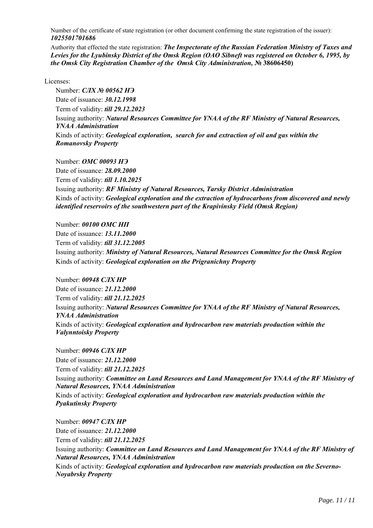Number of the certificate of state registration (or other document confirming the state registration of the issuer): *1025501701686*

Authority that effected the state registration: *The Inspectorate of the Russian Federation Ministry of Taxes and Levies for the Lyubinsky District of the Omsk Region (OAO Sibneft was registered on October 6, 1995, by the Omsk City Registration Chamber of the Omsk City Administration,* **№ 38606450)**

### Licenses:

Number: *СЛХ № 00562 НЭ* Date of issuance: *30.12.1998* Term of validity: *till 29.12.2023* Issuing authority: *Natural Resources Committee for YNAA of the RF Ministry of Natural Resources, YNAA Administration* Kinds of activity: *Geological exploration, search for and extraction of oil and gas within the Romanovsky Property*

Number: *ОМС 00093 НЭ* Date of issuance: *28.09.2000* Term of validity: *till 1.10.2025* Issuing authority: *RF Ministry of Natural Resources, Tarsky District Administration* Kinds of activity: *Geological exploration and the extraction of hydrocarbons from discovered and newly identified reservoirs of the southwestern part of the Krapivinsky Field (Omsk Region)*

Number: *00100 ОМС НП* Date of issuance: *13.11.2000* Term of validity: *till 31.12.2005* Issuing authority: *Ministry of Natural Resources, Natural Resources Committee for the Omsk Region* Kinds of activity: *Geological exploration on the Prigranichny Property*

Number: *00948 СЛХ НР* Date of issuance: *21.12.2000* Term of validity: *till 21.12.2025* Issuing authority: *Natural Resources Committee for YNAA of the RF Ministry of Natural Resources, YNAA Administration* Kinds of activity: *Geological exploration and hydrocarbon raw materials production within the Valynntoisky Property*

Number: *00946 СЛХ НР* Date of issuance: *21.12.2000* Term of validity: *till 21.12.2025* Issuing authority: *Committee on Land Resources and Land Management for YNAA of the RF Ministry of Natural Resources, YNAA Administration*  Kinds of activity: *Geological exploration and hydrocarbon raw materials production within the Pyakutinsky Property*

Number: *00947 СЛХ НР* Date of issuance: *21.12.2000* Term of validity: *till 21.12.2025* Issuing authority: *Committee on Land Resources and Land Management for YNAA of the RF Ministry of Natural Resources, YNAA Administration* Kinds of activity: *Geological exploration and hydrocarbon raw materials production on the Severno-Noyabrsky Property*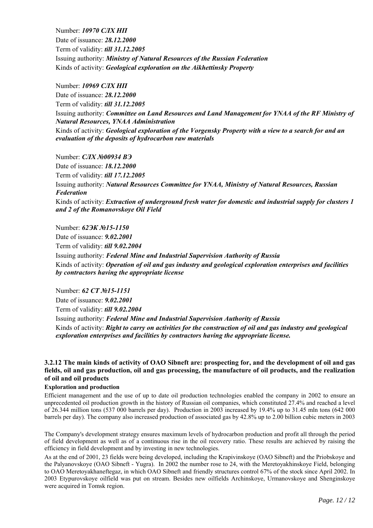Number: *10970 СЛХ НП* Date of issuance: *28.12.2000* Term of validity: *till 31.12.2005* Issuing authority: *Ministry of Natural Resources of the Russian Federation* Kinds of activity: *Geological exploration on the Aikhettinsky Property*

Number: *10969 СЛХ НП* Date of issuance: *28.12.2000* Term of validity: *till 31.12.2005* Issuing authority: *Committee on Land Resources and Land Management for YNAA of the RF Ministry of Natural Resources, YNAA Administration* Kinds of activity: *Geological exploration of the Vorgensky Property with a view to a search for and an* 

Number: *СЛХ №00934 ВЭ*

*evaluation of the deposits of hydrocarbon raw materials*

Date of issuance: *18.12.2000* Term of validity: *till 17.12.2005* Issuing authority: *Natural Resources Committee for YNAA, Ministry of Natural Resources, Russian Federation* Kinds of activity: *Extraction of underground fresh water for domestic and industrial supply for clusters 1 and 2 of the Romanovskoye Oil Field*

Number: *62ЭК №15-1150* Date of issuance: *9.02.2001* Term of validity: *till 9.02.2004* Issuing authority: *Federal Mine and Industrial Supervision Authority of Russia* Kinds of activity: *Operation of oil and gas industry and geological exploration enterprises and facilities by contractors having the appropriate license*

Number: *62 СТ №15-1151* Date of issuance: *9.02.2001* Term of validity: *till 9.02.2004* Issuing authority: *Federal Mine and Industrial Supervision Authority of Russia* Kinds of activity: *Right to carry on activities for the construction of oil and gas industry and geological exploration enterprises and facilities by contractors having the appropriate license.* 

### **3.2.12 The main kinds of activity of OAO Sibneft are: prospecting for, and the development of oil and gas fields, oil and gas production, oil and gas processing, the manufacture of oil products, and the realization of oil and oil products**

#### **Exploration and production**

Efficient management and the use of up to date oil production technologies enabled the company in 2002 to ensure an unprecedented oil production growth in the history of Russian oil companies, which constituted 27.4% and reached a level of  $26.344$  million tons (537 000 barrels per day). Production in 2003 increased by 19.4% up to 31.45 mln tons (642 000 barrels per day). The company also increased production of associated gas by 42.8% up to 2.00 billion cubic meters in 2003

The Company's development strategy ensures maximum levels of hydrocarbon production and profit all through the period of field development as well as of a continuous rise in the oil recovery ratio. These results are achieved by raising the efficiency in field development and by investing in new technologies.

As at the end of 2001, 23 fields were being developed, including the Krapivinskoye (OAO Sibneft) and the Priobskoye and the Palyanovskoye (OAO Sibneft - Yugra). In 2002 the number rose to 24, with the Meretoyakhinskoye Field, belonging to OAO Meretoyakhaneftegaz, in which OAO Sibneft and friendly structures control 67% of the stock since April 2002. In 2003 Etypurovskoye oilfield was put on stream. Besides new oilfields Archinskoye, Urmanovskoye and Shenginskoye were acquired in Tomsk region.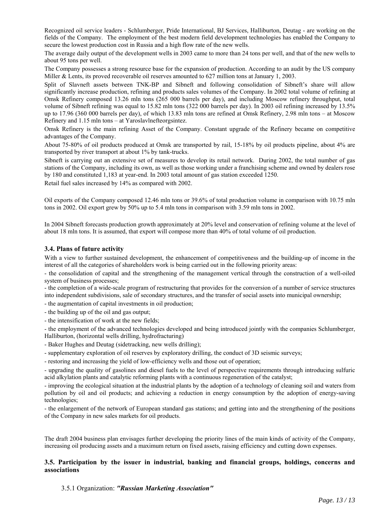Recognized oil service leaders - Schlumberger, Pride International, BJ Services, Halliburton, Deutag - are working on the fields of the Company. The employment of the best modern field development technologies has enabled the Company to secure the lowest production cost in Russia and a high flow rate of the new wells.

The average daily output of the development wells in 2003 came to more than 24 tons per well, and that of the new wells to about 95 tons per well.

The Company possesses a strong resource base for the expansion of production. According to an audit by the US company Miller & Lents, its proved recoverable oil reserves amounted to 627 million tons at January 1, 2003.

Split of Slavneft assets between TNK-BP and Sibneft and following consolidation of Sibneft's share will allow significantly increase production, refining and products sales volumes of the Company. In 2002 total volume of refining at Omsk Refinery composed 13.26 mln tons (265 000 barrels per day), and including Moscow refinery throughput, total volume of Sibneft refining was equal to 15.82 mln tons (322 000 barrels per day). In 2003 oil refining increased by 13.5% up to 17.96 (360 000 barrels per day), of which 13.83 mln tons are refined at Omsk Refinery, 2.98 mln tons – at Moscow Refinery and 1.15 mln tons – at Yaroslavlnefteorgsintez.

Omsk Refinery is the main refining Asset of the Company. Constant upgrade of the Refinery became on competitive advantages of the Company.

About 75-80% of oil products produced at Omsk are transported by rail, 15-18% by oil products pipeline, about 4% are transported by river transport at about 1% by tank-trucks.

Sibneft is carrying out an extensive set of measures to develop its retail network. During 2002, the total number of gas stations of the Company, including its own, as well as those working under a franchising scheme and owned by dealers rose by 180 and constituted 1,183 at year-end. In 2003 total amount of gas station exceeded 1250.

Retail fuel sales increased by 14% as compared with 2002.

Oil exports of the Company composed 12.46 mln tons or 39.6% of total production volume in comparison with 10.75 mln tons in 2002. Oil export grew by 50% up to 5.4 mln tons in comparison with 3.59 mln tons in 2002.

In 2004 Sibneft forecasts production growth approximately at 20% level and conservation of refining volume at the level of about 18 mln tons. It is assumed, that export will compose more than 40% of total volume of oil production.

#### **3.4. Plans of future activity**

With a view to further sustained development, the enhancement of competitiveness and the building-up of income in the interest of all the categories of shareholders work is being carried out in the following priority areas:

- the consolidation of capital and the strengthening of the management vertical through the construction of a well-oiled system of business processes;

- the completion of a wide-scale program of restructuring that provides for the conversion of a number of service structures into independent subdivisions, sale of secondary structures, and the transfer of social assets into municipal ownership;

- the augmentation of capital investments in oil production;
- the building up of the oil and gas output;
- the intensification of work at the new fields;

- the employment of the advanced technologies developed and being introduced jointly with the companies Schlumberger, Halliburton, (horizontal wells drilling, hydrofracturing)

- Baker Hughes and Deutag (sidetracking, new wells drilling);

- supplementary exploration of oil reserves by exploratory drilling, the conduct of 3D seismic surveys;
- restoring and increasing the yield of low-efficiency wells and those out of operation;

- upgrading the quality of gasolines and diesel fuels to the level of perspective requirements through introducing sulfuric acid alkylation plants and catalytic reforming plants with a continuous regeneration of the catalyst;

- improving the ecological situation at the industrial plants by the adoption of a technology of cleaning soil and waters from pollution by oil and oil products; and achieving a reduction in energy consumption by the adoption of energy-saving technologies;

- the enlargement of the network of European standard gas stations; and getting into and the strengthening of the positions of the Company in new sales markets for oil products.

The draft 2004 business plan envisages further developing the priority lines of the main kinds of activity of the Company, increasing oil producing assets and a maximum return on fixed assets, raising efficiency and cutting down expenses.

### **3.5. Participation by the issuer in industrial, banking and financial groups, holdings, concerns and associations**

3.5.1 Organization: *"Russian Marketing Association"*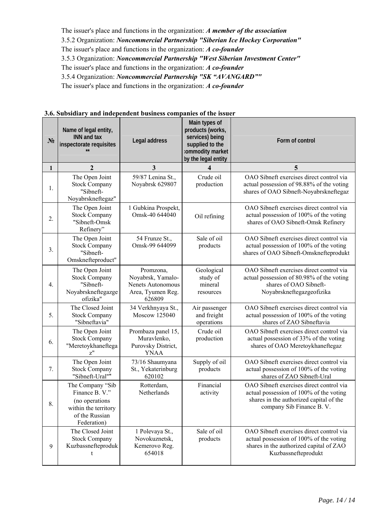The issuer's place and functions in the organization: *A member of the association* 3.5.2 Organization: *Noncommercial Partnership "Siberian Ice Hockey Corporation"* The issuer's place and functions in the organization: *A co-founder* 3.5.3 Organization: *Noncommercial Partnership "West Siberian Investment Center"*  The issuer's place and functions in the organization: *A co-founder*  3.5.4 Organization: *Noncommercial Partnership "SK "AVANGARD""*  The issuer's place and functions in the organization: *A co-founder* 

| $N_2$        | Name of legal entity,<br><b>INN and tax</b><br>inspectorate requisites                                        | Legal address                                                                             | Main types of<br>products (works,<br>services) being<br>supplied to the<br>:ommodity market<br>by the legal entity | Form of control                                                                                                                                             |
|--------------|---------------------------------------------------------------------------------------------------------------|-------------------------------------------------------------------------------------------|--------------------------------------------------------------------------------------------------------------------|-------------------------------------------------------------------------------------------------------------------------------------------------------------|
| $\mathbf{1}$ | $\overline{2}$                                                                                                | 3                                                                                         |                                                                                                                    | 5                                                                                                                                                           |
| 1.           | The Open Joint<br><b>Stock Company</b><br>"Sibneft-<br>Noyabrskneftegaz"                                      | 59/87 Lenina St.,<br>Noyabrsk 629807                                                      | Crude oil<br>production                                                                                            | OAO Sibneft exercises direct control via<br>actual possession of 98.88% of the voting<br>shares of OAO Sibneft-Noyabrskneftegaz                             |
| 2.           | The Open Joint<br><b>Stock Company</b><br>"Sibneft-Omsk<br>Refinery"                                          | 1 Gubkina Prospekt,<br>Omsk-40 644040                                                     | Oil refining                                                                                                       | OAO Sibneft exercises direct control via<br>actual possession of 100% of the voting<br>shares of OAO Sibneft-Omsk Refinery                                  |
| 3.           | The Open Joint<br><b>Stock Company</b><br>"Sibneft-<br>Omsknefteproduct"                                      | 54 Frunze St.,<br>Omsk-99 644099                                                          | Sale of oil<br>products                                                                                            | OAO Sibneft exercises direct control via<br>actual possession of 100% of the voting<br>shares of OAO Sibneft-Omsknefteprodukt                               |
| 4.           | The Open Joint<br><b>Stock Company</b><br>"Sibneft-<br>Noyabrskneftegazge<br>ofizika"                         | Promzona,<br>Noyabrsk, Yamalo-<br><b>Nenets Autonomous</b><br>Area, Tyumen Reg.<br>626809 | Geological<br>study of<br>mineral<br>resources                                                                     | OAO Sibneft exercises direct control via<br>actual possession of 80.98% of the voting<br>shares of OAO Sibneft-<br>Noyabrskneftegazgeofizika                |
| 5.           | The Closed Joint<br><b>Stock Company</b><br>"Sibneftavia"                                                     | 34 Verkhnyaya St.,<br>Moscow 125040                                                       | Air passenger<br>and freight<br>operations                                                                         | OAO Sibneft exercises direct control via<br>actual possession of 100% of the voting<br>shares of ZAO Sibneftavia                                            |
| 6.           | The Open Joint<br><b>Stock Company</b><br>"Meretoykhaneftega<br>z''                                           | Prombaza panel 15,<br>Muravlenko,<br>Purovsky District,<br><b>YNAA</b>                    | Crude oil<br>production                                                                                            | OAO Sibneft exercises direct control via<br>actual possession of 33% of the voting<br>shares of OAO Meretoykhaneftegaz                                      |
| 7.           | The Open Joint<br><b>Stock Company</b><br>"Sibneft-Ural""                                                     | 73/16 Shaumyana<br>St., Yekaterinburg<br>620102                                           | Supply of oil<br>products                                                                                          | OAO Sibneft exercises direct control via<br>actual possession of 100% of the voting<br>shares of ZAO Sibneft-Ural                                           |
| 8.           | The Company "Sib<br>Finance B. V."<br>(no operations<br>within the territory<br>of the Russian<br>Federation) | Rotterdam,<br>Netherlands                                                                 | Financial<br>activity                                                                                              | OAO Sibneft exercises direct control via<br>actual possession of 100% of the voting<br>shares in the authorized capital of the<br>company Sib Finance B. V. |
| 9            | The Closed Joint<br><b>Stock Company</b><br>Kuzbassnefteproduk<br>t                                           | 1 Polevaya St.,<br>Novokuznetsk,<br>Kemerovo Reg.<br>654018                               | Sale of oil<br>products                                                                                            | OAO Sibneft exercises direct control via<br>actual possession of 100% of the voting<br>shares in the authorized capital of ZAO<br>Kuzbassnefteprodukt       |

# **3.6. Subsidiary and independent business companies of the issuer**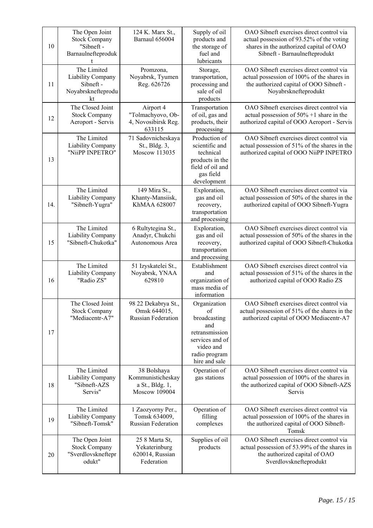| 10  | The Open Joint<br><b>Stock Company</b><br>"Sibneft -<br>Barnaulnefteproduk | 124 K. Marx St.,<br>Barnaul 656004                                   | Supply of oil<br>products and<br>the storage of<br>fuel and<br>lubricants                                                     | OAO Sibneft exercises direct control via<br>actual possession of 93.52% of the voting<br>shares in the authorized capital of OAO<br>Sibneft - Barnaulnefteprodukt |
|-----|----------------------------------------------------------------------------|----------------------------------------------------------------------|-------------------------------------------------------------------------------------------------------------------------------|-------------------------------------------------------------------------------------------------------------------------------------------------------------------|
| 11  | The Limited<br>Liability Company<br>Sibneft -<br>Noyabrsknefteprodu<br>kt  | Promzona,<br>Noyabrsk, Tyumen<br>Reg. 626726                         | Storage,<br>transportation,<br>processing and<br>sale of oil<br>products                                                      | OAO Sibneft exercises direct control via<br>actual possession of 100% of the shares in<br>the authorized capital of OOO Sibneft -<br>Noyabrsknefteprodukt         |
| 12  | The Closed Joint<br><b>Stock Company</b><br>Aeroport - Servis              | Airport 4<br>"Tolmachyovo, Ob-<br>4, Novosibirsk Reg.<br>633115      | Transportation<br>of oil, gas and<br>products, their<br>processing                                                            | OAO Sibneft exercises direct control via<br>actual possession of $50\% + 1$ share in the<br>authorized capital of OOO Aeroport - Servis                           |
| 13  | The Limited<br>Liability Company<br>"NiiPP INPETRO"                        | 71 Sadovnicheskaya<br>St., Bldg. 3,<br>Moscow 113035                 | Production of<br>scientific and<br>technical<br>products in the<br>field of oil and<br>gas field<br>development               | OAO Sibneft exercises direct control via<br>actual possession of 51% of the shares in the<br>authorized capital of OOO NiiPP INPETRO                              |
| 14. | The Limited<br>Liability Company<br>"Sibneft-Yugra"                        | 149 Mira St.,<br>Khanty-Mansiisk,<br>KhMAA 628007                    | Exploration,<br>gas and oil<br>recovery,<br>transportation<br>and processing                                                  | OAO Sibneft exercises direct control via<br>actual possession of 50% of the shares in the<br>authorized capital of OOO Sibneft-Yugra                              |
| 15  | The Limited<br>Liability Company<br>"Sibneft-Chukotka"                     | 6 Rultytegina St.,<br>Anadyr, Chukchi<br>Autonomous Area             | Exploration,<br>gas and oil<br>recovery,<br>transportation<br>and processing                                                  | OAO Sibneft exercises direct control via<br>actual possession of 50% of the shares in the<br>authorized capital of OOO Sibneft-Chukotka                           |
| 16  | The Limited<br>Liability Company<br>"Radio ZS"                             | 51 Izyskatelei St.,<br>Noyabrsk, YNAA<br>629810                      | Establishment<br>and<br>organization of<br>mass media of<br>information                                                       | OAO Sibneft exercises direct control via<br>actual possession of 51% of the shares in the<br>authorized capital of OOO Radio ZS                                   |
| 17  | The Closed Joint<br><b>Stock Company</b><br>"Mediacentr-A7"                | 98 22 Dekabrya St.,<br>Omsk 644015,<br><b>Russian Federation</b>     | Organization<br>of<br>broadcasting<br>and<br>retransmission<br>services and of<br>video and<br>radio program<br>hire and sale | OAO Sibneft exercises direct control via<br>actual possession of 51% of the shares in the<br>authorized capital of OOO Mediacentr-A7                              |
| 18  | The Limited<br>Liability Company<br>"Sibneft-AZS<br>Servis"                | 38 Bolshaya<br>Kommunisticheskay<br>a St., Bldg. 1,<br>Moscow 109004 | Operation of<br>gas stations                                                                                                  | OAO Sibneft exercises direct control via<br>actual possession of 100% of the shares in<br>the authorized capital of OOO Sibneft-AZS<br>Servis                     |
| 19  | The Limited<br><b>Liability Company</b><br>"Sibneft-Tomsk"                 | 1 Zaozyorny Per.,<br>Tomsk 634009,<br><b>Russian Federation</b>      | Operation of<br>filling<br>complexes                                                                                          | OAO Sibneft exercises direct control via<br>actual possession of 100% of the shares in<br>the authorized capital of OOO Sibneft-<br>Tomsk                         |
| 20  | The Open Joint<br><b>Stock Company</b><br>"Sverdlovskneftepr<br>odukt"     | 25 8 Marta St,<br>Yekaterinburg<br>620014, Russian<br>Federation     | Supplies of oil<br>products                                                                                                   | OAO Sibneft exercises direct control via<br>actual possession of 53.99% of the shares in<br>the authorized capital of OAO<br>Sverdlovsknefteprodukt               |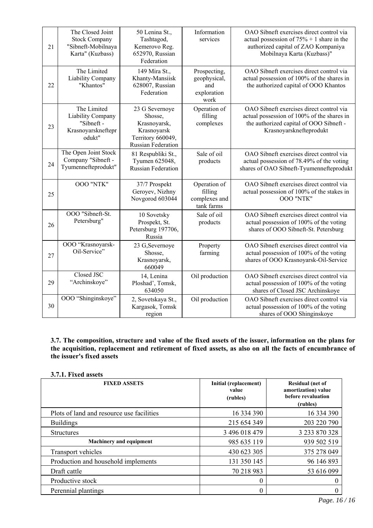| 21 | The Closed Joint<br><b>Stock Company</b><br>"Sibneft-Mobilnaya<br>Karta" (Kuzbass) | 50 Lenina St.,<br>Tashtagod,<br>Kemerovo Reg.<br>652970, Russian<br>Federation                             | Information<br>services                                    | OAO Sibneft exercises direct control via<br>actual possession of $75% + 1$ share in the<br>authorized capital of ZAO Kompaniya<br>Mobilnaya Karta (Kuzbass)" |
|----|------------------------------------------------------------------------------------|------------------------------------------------------------------------------------------------------------|------------------------------------------------------------|--------------------------------------------------------------------------------------------------------------------------------------------------------------|
| 22 | The Limited<br><b>Liability Company</b><br>"Khantos"                               | 149 Mira St.,<br>Khanty-Mansiisk<br>628007, Russian<br>Federation                                          | Prospecting,<br>geophysical,<br>and<br>exploration<br>work | OAO Sibneft exercises direct control via<br>actual possession of 100% of the shares in<br>the authorized capital of OOO Khantos                              |
| 23 | The Limited<br>Liability Company<br>"Sibneft -<br>Krasnoyarskneftepr<br>odukt"     | 23 G Severnoye<br>Shosse,<br>Krasnoyarsk,<br>Krasnoyarsk<br>Territory 660049,<br><b>Russian Federation</b> | Operation of<br>filling<br>complexes                       | OAO Sibneft exercises direct control via<br>actual possession of 100% of the shares in<br>the authorized capital of OOO Sibneft -<br>Krasnoyarsknefteprodukt |
| 24 | The Open Joint Stock<br>Company "Sibneft -<br>Tyumennefteprodukt"                  | 81 Respubliki St.,<br>Tyumen 625048,<br><b>Russian Federation</b>                                          | Sale of oil<br>products                                    | OAO Sibneft exercises direct control via<br>actual possession of 78.49% of the voting<br>shares of OAO Sibneft-Tyumennefteprodukt                            |
| 25 | <b>OOO "NTK"</b>                                                                   | 37/7 Prospekt<br>Geroyev, Nizhny<br>Novgorod 603044                                                        | Operation of<br>filling<br>complexes and<br>tank farms     | OAO Sibneft exercises direct control via<br>actual possession of 100% of the stakes in<br>OOO "NTK"                                                          |
| 26 | OOO "Sibneft-St.<br>Petersburg"                                                    | 10 Sovetsky<br>Prospekt, St.<br>Petersburg 197706,<br>Russia                                               | Sale of oil<br>products                                    | OAO Sibneft exercises direct control via<br>actual possession of 100% of the voting<br>shares of OOO Sibneft-St. Petersburg                                  |
| 27 | OOO "Krasnoyarsk-<br>Oil-Service"                                                  | 23 G, Severnoye<br>Shosse,<br>Krasnoyarsk,<br>660049                                                       | Property<br>farming                                        | OAO Sibneft exercises direct control via<br>actual possession of 100% of the voting<br>shares of OOO Krasnoyarsk-Oil-Service                                 |
| 29 | Closed JSC<br>"Archinskoye"                                                        | 14, Lenina<br>Ploshad', Tomsk,<br>634050                                                                   | Oil production                                             | OAO Sibneft exercises direct control via<br>actual possession of 100% of the voting<br>shares of Closed JSC Archinskoye                                      |
| 30 | OOO "Shinginskoye"                                                                 | 2, Sovetskaya St.,<br>Kargasok, Tomsk<br>region                                                            | Oil production                                             | OAO Sibneft exercises direct control via<br>actual possession of 100% of the voting<br>shares of OOO Shinginskoye                                            |

# **3.7. The composition, structure and value of the fixed assets of the issuer, information on the plans for the acquisition, replacement and retirement of fixed assets, as also on all the facts of encumbrance of the issuer's fixed assets**

|  |  | 3.7.1. Fixed assets |
|--|--|---------------------|
|--|--|---------------------|

| <b>FIXED ASSETS</b>                       | Initial (replacement)<br>value<br>(rubles) | <b>Residual</b> (net of<br>amortization) value<br>before revaluation<br>(rubles) |
|-------------------------------------------|--------------------------------------------|----------------------------------------------------------------------------------|
| Plots of land and resource use facilities | 16 334 390                                 | 16 334 390                                                                       |
| <b>Buildings</b>                          | 215 654 349                                | 203 220 790                                                                      |
| <b>Structures</b>                         | 3 496 018 479                              | 3 233 870 328                                                                    |
| <b>Machinery and equipment</b>            | 985 635 119                                | 939 502 519                                                                      |
| Transport vehicles                        | 430 623 305                                | 375 278 049                                                                      |
| Production and household implements       | 131 350 145                                | 96 146 893                                                                       |
| Draft cattle                              | 70 218 983                                 | 53 616 099                                                                       |
| Productive stock                          | 0                                          | 0                                                                                |
| Perennial plantings                       | 0                                          | 0                                                                                |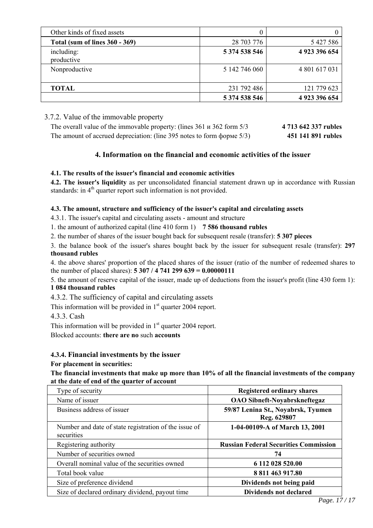| Other kinds of fixed assets           |               |               |
|---------------------------------------|---------------|---------------|
| <b>Total (sum of lines 360 - 369)</b> | 28 703 776    | 5 427 586     |
| including:<br>productive              | 5 374 538 546 | 4 923 396 654 |
| Nonproductive                         | 5 142 746 060 | 4 801 617 031 |
| <b>TOTAL</b>                          | 231 792 486   | 121 779 623   |
|                                       | 5 374 538 546 | 4 923 396 654 |

# 3.7.2. Value of the immovable property

| The overall value of the immovable property: (lines $361 \text{ u } 362$ form $5/3$ | 4 713 642 337 rubles |
|-------------------------------------------------------------------------------------|----------------------|
| The amount of accrued depreciation: (line 395 notes to form форме 5/3)              | 451 141 891 rubles   |

# **4. Information on the financial and economic activities of the issuer**

# **4.1. The results of the issuer's financial and economic activities**

**4.2. The issuer's liquidity** as per unconsolidated financial statement drawn up in accordance with Russian standards: in  $4<sup>th</sup>$  quarter report such information is not provided.

# **4.3. The amount, structure and sufficiency of the issuer's capital and circulating assets**

4.3.1. The issuer's capital and circulating assets - amount and structure

1. the amount of authorized capital (line 410 form 1) **7 586 thousand rubles**

2. the number of shares of the issuer bought back for subsequent resale (transfer): **5 307 pieces**

3. the balance book of the issuer's shares bought back by the issuer for subsequent resale (transfer): **297 thousand rubles**

4. the above shares' proportion of the placed shares of the issuer (ratio of the number of redeemed shares to the number of placed shares): **5 307 / 4 741 299 639 = 0.00000111**

5. the amount of reserve capital of the issuer, made up of deductions from the issuer's profit (line 430 form 1): **1 084 thousand rubles**

4.3.2. The sufficiency of capital and circulating assets

This information will be provided in  $1<sup>st</sup>$  quarter 2004 report.

4.3.3. Cash

This information will be provided in  $1<sup>st</sup>$  quarter 2004 report.

Blocked accounts: **there are no** such **accounts**

# **4.3.4. Financial investments by the issuer**

# **For placement in securities:**

**The financial investments that make up more than 10% of all the financial investments of the company at the date of end of the quarter of account**

| Type of security                                                    | <b>Registered ordinary shares</b>                 |
|---------------------------------------------------------------------|---------------------------------------------------|
| Name of issuer                                                      | <b>OAO</b> Sibneft-Noyabrskneftegaz               |
| Business address of issuer                                          | 59/87 Lenina St., Noyabrsk, Tyumen<br>Reg. 629807 |
| Number and date of state registration of the issue of<br>securities | 1-04-00109-A of March 13, 2001                    |
| Registering authority                                               | <b>Russian Federal Securities Commission</b>      |
| Number of securities owned                                          | 74                                                |
| Overall nominal value of the securities owned                       | 6 112 028 520.00                                  |
| Total book value                                                    | 8 811 463 917.80                                  |
| Size of preference dividend                                         | Dividends not being paid                          |
| Size of declared ordinary dividend, payout time                     | <b>Dividends not declared</b>                     |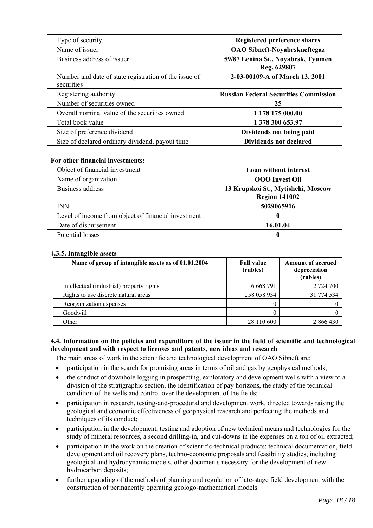| Type of security                                                    | Registered preference shares                      |
|---------------------------------------------------------------------|---------------------------------------------------|
| Name of issuer                                                      | <b>OAO Sibneft-Noyabrskneftegaz</b>               |
| Business address of issuer                                          | 59/87 Lenina St., Noyabrsk, Tyumen<br>Reg. 629807 |
| Number and date of state registration of the issue of<br>securities | 2-03-00109-A of March 13, 2001                    |
| Registering authority                                               | <b>Russian Federal Securities Commission</b>      |
| Number of securities owned                                          | 25                                                |
| Overall nominal value of the securities owned                       | 1 178 175 000.00                                  |
| Total book value                                                    | 1 378 300 653.97                                  |
| Size of preference dividend                                         | Dividends not being paid                          |
| Size of declared ordinary dividend, payout time                     | <b>Dividends not declared</b>                     |

# **For other financial investments:**

| Object of financial investment                      | Loan without interest                                      |
|-----------------------------------------------------|------------------------------------------------------------|
| Name of organization                                | <b>OOO</b> Invest Oil                                      |
| Business address                                    | 13 Krupskoi St., Mytishchi, Moscow<br><b>Region 141002</b> |
| <b>INN</b>                                          | 5029065916                                                 |
| Level of income from object of financial investment | 0                                                          |
| Date of disbursement                                | 16.01.04                                                   |
| Potential losses                                    | O                                                          |

# **4.3.5. Intangible assets**

| Name of group of intangible assets as of 01.01.2004 | <b>Full value</b><br>(rubles) | <b>Amount of accrued</b><br>depreciation<br>(rubles) |
|-----------------------------------------------------|-------------------------------|------------------------------------------------------|
| Intellectual (industrial) property rights           | 6 6 6 8 7 9 1                 | 2 724 700                                            |
| Rights to use discrete natural areas                | 258 058 934                   | 31 774 534                                           |
| Reorganization expenses                             |                               |                                                      |
| Goodwill                                            |                               |                                                      |
| Other                                               | 28 110 600                    | 2 866 430                                            |

# **4.4. Information on the policies and expenditure of the issuer in the field of scientific and technological development and with respect to licenses and patents, new ideas and research**

The main areas of work in the scientific and technological development of ОАО Sibneft are:

- participation in the search for promising areas in terms of oil and gas by geophysical methods;
- the conduct of downhole logging in prospecting, exploratory and development wells with a view to a division of the stratigraphic section, the identification of pay horizons, the study of the technical condition of the wells and control over the development of the fields;
- participation in research, testing-and-procedural and development work, directed towards raising the geological and economic effectiveness of geophysical research and perfecting the methods and techniques of its conduct;
- participation in the development, testing and adoption of new technical means and technologies for the study of mineral resources, a second drilling-in, and cut-downs in the expenses on a ton of oil extracted;
- participation in the work on the creation of scientific-technical products: technical documentation, field development and oil recovery plans, techno-economic proposals and feasibility studies, including geological and hydrodynamic models, other documents necessary for the development of new hydrocarbon deposits;
- further upgrading of the methods of planning and regulation of late-stage field development with the construction of permanently operating geologo-mathematical models.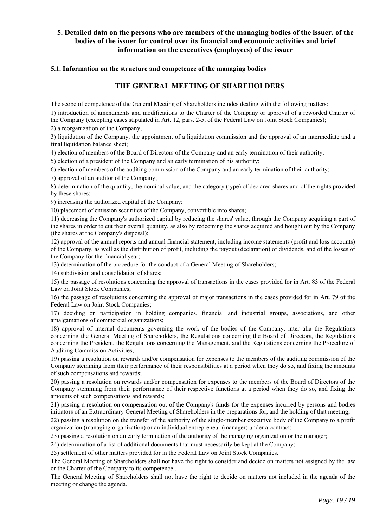# **5. Detailed data on the persons who are members of the managing bodies of the issuer, of the bodies of the issuer for control over its financial and economic activities and brief information on the executives (employees) of the issuer**

### **5.1. Information on the structure and competence of the managing bodies**

# **THE GENERAL MEETING OF SHAREHOLDERS**

The scope of competence of the General Meeting of Shareholders includes dealing with the following matters:

1) introduction of amendments and modifications to the Charter of the Company or approval of a reworded Charter of the Company (excepting cases stipulated in Art. 12, pars. 2-5, of the Federal Law on Joint Stock Companies);

2) a reorganization of the Company;

3) liquidation of the Company, the appointment of a liquidation commission and the approval of an intermediate and a final liquidation balance sheet;

4) election of members of the Board of Directors of the Company and an early termination of their authority;

5) election of a president of the Company and an early termination of his authority;

6) election of members of the auditing commission of the Company and an early termination of their authority;

7) approval of an auditor of the Company;

8) determination of the quantity, the nominal value, and the category (type) of declared shares and of the rights provided by these shares;

9) increasing the authorized capital of the Company;

10) placement of emission securities of the Company, convertible into shares;

11) decreasing the Company's authorized capital by reducing the shares' value, through the Company acquiring a part of the shares in order to cut their overall quantity, as also by redeeming the shares acquired and bought out by the Company (the shares at the Company's disposal);

12) approval of the annual reports and annual financial statement, including income statements (profit and loss accounts) of the Company, as well as the distribution of profit, including the payout (declaration) of dividends, and of the losses of the Company for the financial year;

13) determination of the procedure for the conduct of a General Meeting of Shareholders;

14) subdivision and consolidation of shares;

15) the passage of resolutions concerning the approval of transactions in the cases provided for in Art. 83 of the Federal Law on Joint Stock Companies;

16) the passage of resolutions concerning the approval of major transactions in the cases provided for in Art. 79 of the Federal Law on Joint Stock Companies;

17) deciding on participation in holding companies, financial and industrial groups, associations, and other amalgamations of commercial organizations;

18) approval of internal documents governing the work of the bodies of the Company, inter alia the Regulations concerning the General Meeting of Shareholders, the Regulations concerning the Board of Directors, the Regulations concerning the President, the Regulations concerning the Management, and the Regulations concerning the Procedure of Auditing Commission Activities;

19) passing a resolution on rewards and/or compensation for expenses to the members of the auditing commission of the Company stemming from their performance of their responsibilities at a period when they do so, and fixing the amounts of such compensations and rewards;

20) passing a resolution on rewards and/or compensation for expenses to the members of the Board of Directors of the Company stemming from their performance of their respective functions at a period when they do so, and fixing the amounts of such compensations and rewards;

21) passing a resolution on compensation out of the Company's funds for the expenses incurred by persons and bodies initiators of an Extraordinary General Meeting of Shareholders in the preparations for, and the holding of that meeting;

22) passing a resolution on the transfer of the authority of the single-member executive body of the Company to a profit organization (managing organization) or an individual entrepreneur (manager) under a contract;

23) passing a resolution on an early termination of the authority of the managing organization or the manager;

24) determination of a list of additional documents that must necessarily be kept at the Company;

25) settlement of other matters provided for in the Federal Law on Joint Stock Companies.

The General Meeting of Shareholders shall not have the right to consider and decide on matters not assigned by the law or the Charter of the Company to its competence..

The General Meeting of Shareholders shall not have the right to decide on matters not included in the agenda of the meeting or change the agenda.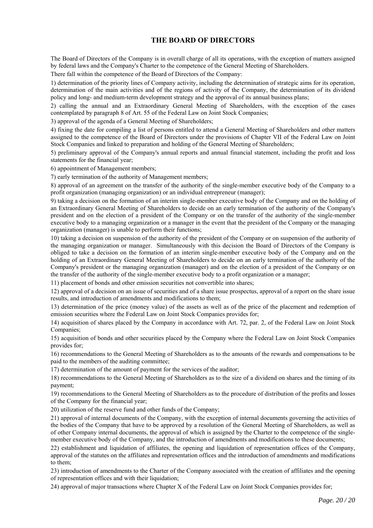# **THE BOARD OF DIRECTORS**

The Board of Directors of the Company is in overall charge of all its operations, with the exception of matters assigned by federal laws and the Company's Charter to the competence of the General Meeting of Shareholders.

There fall within the competence of the Board of Directors of the Company:

1) determination of the priority lines of Company activity, including the determination of strategic aims for its operation, determination of the main activities and of the regions of activity of the Company, the determination of its dividend policy and long- and medium-term development strategy and the approval of its annual business plans;

2) calling the annual and an Extraordinary General Meeting of Shareholders, with the exception of the cases contemplated by paragraph 8 of Art. 55 of the Federal Law on Joint Stock Companies;

3) approval of the agenda of a General Meeting of Shareholders;

4) fixing the date for compiling a list of persons entitled to attend a General Meeting of Shareholders and other matters assigned to the competence of the Board of Directors under the provisions of Chapter VII of the Federal Law on Joint Stock Companies and linked to preparation and holding of the General Meeting of Shareholders;

5) preliminary approval of the Company's annual reports and annual financial statement, including the profit and loss statements for the financial year;

6) appointment of Management members;

7) early termination of the authority of Management members;

8) approval of an agreement on the transfer of the authority of the single-member executive body of the Company to a profit organization (managing organization) or an individual entrepreneur (manager);

9) taking a decision on the formation of an interim single-member executive body of the Company and on the holding of an Extraordinary General Meeting of Shareholders to decide on an early termination of the authority of the Company's president and on the election of a president of the Company or on the transfer of the authority of the single-member executive body to a managing organization or a manager in the event that the president of the Company or the managing organization (manager) is unable to perform their functions;

10) taking a decision on suspension of the authority of the president of the Company or on suspension of the authority of the managing organization or manager. Simultaneously with this decision the Board of Directors of the Company is obliged to take a decision on the formation of an interim single-member executive body of the Company and on the holding of an Extraordinary General Meeting of Shareholders to decide on an early termination of the authority of the Company's president or the managing organization (manager) and on the election of a president of the Company or on the transfer of the authority of the single-member executive body to a profit organization or a manager;

11) placement of bonds and other emission securities not convertible into shares;

12) approval of a decision on an issue of securities and of a share issue prospectus, approval of a report on the share issue results, and introduction of amendments and modifications to them;

13) determination of the price (money value) of the assets as well as of the price of the placement and redemption of emission securities where the Federal Law on Joint Stock Companies provides for;

14) acquisition of shares placed by the Company in accordance with Art. 72, par. 2, of the Federal Law on Joint Stock Companies;

15) acquisition of bonds and other securities placed by the Company where the Federal Law on Joint Stock Companies provides for;

16) recommendations to the General Meeting of Shareholders as to the amounts of the rewards and compensations to be paid to the members of the auditing committee;

17) determination of the amount of payment for the services of the auditor;

18) recommendations to the General Meeting of Shareholders as to the size of a dividend on shares and the timing of its payment;

19) recommendations to the General Meeting of Shareholders as to the procedure of distribution of the profits and losses of the Company for the financial year;

20) utilization of the reserve fund and other funds of the Company;

21) approval of internal documents of the Company, with the exception of internal documents governing the activities of the bodies of the Company that have to be approved by a resolution of the General Meeting of Shareholders, as well as of other Company internal documents, the approval of which is assigned by the Charter to the competence of the singlemember executive body of the Company, and the introduction of amendments and modifications to these documents;

22) establishment and liquidation of affiliates, the opening and liquidation of representation offices of the Company, approval of the statutes on the affiliates and representation offices and the introduction of amendments and modifications to them;

23) introduction of amendments to the Charter of the Company associated with the creation of affiliates and the opening of representation offices and with their liquidation;

24) approval of major transactions where Chapter X of the Federal Law on Joint Stock Companies provides for;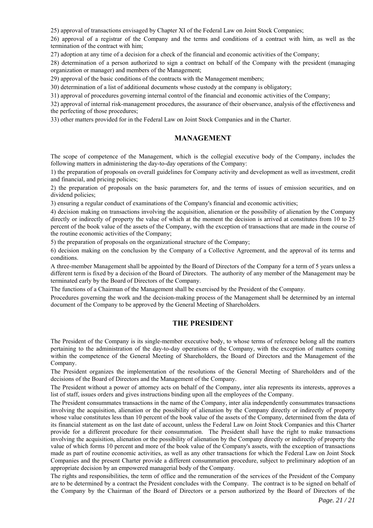25) approval of transactions envisaged by Chapter XI of the Federal Law on Joint Stock Companies;

26) approval of a registrar of the Company and the terms and conditions of a contract with him, as well as the termination of the contract with him;

27) adoption at any time of a decision for a check of the financial and economic activities of the Company;

28) determination of a person authorized to sign a contract on behalf of the Company with the president (managing organization or manager) and members of the Management;

29) approval of the basic conditions of the contracts with the Management members;

30) determination of a list of additional documents whose custody at the company is obligatory;

31) approval of procedures governing internal control of the financial and economic activities of the Company;

32) approval of internal risk-management procedures, the assurance of their observance, analysis of the effectiveness and the perfecting of those procedures;

33) other matters provided for in the Federal Law on Joint Stock Companies and in the Charter.

# **MANAGEMENT**

The scope of competence of the Management, which is the collegial executive body of the Company, includes the following matters in administering the day-to-day operations of the Company:

1) the preparation of proposals on overall guidelines for Company activity and development as well as investment, credit and financial, and pricing policies;

2) the preparation of proposals on the basic parameters for, and the terms of issues of emission securities, and on dividend policies;

3) ensuring a regular conduct of examinations of the Company's financial and economic activities;

4) decision making on transactions involving the acquisition, alienation or the possibility of alienation by the Company directly or indirectly of property the value of which at the moment the decision is arrived at constitutes from 10 to 25 percent of the book value of the assets of the Company, with the exception of transactions that are made in the course of the routine economic activities of the Company;

5) the preparation of proposals on the organizational structure of the Company;

6) decision making on the conclusion by the Company of a Collective Agreement, and the approval of its terms and conditions.

A three-member Management shall be appointed by the Board of Directors of the Company for a term of 5 years unless a different term is fixed by a decision of the Board of Directors. The authority of any member of the Management may be terminated early by the Board of Directors of the Company.

The functions of a Chairman of the Management shall be exercised by the President of the Company.

Procedures governing the work and the decision-making process of the Management shall be determined by an internal document of the Company to be approved by the General Meeting of Shareholders.

# **THE PRESIDENT**

The President of the Company is its single-member executive body, to whose terms of reference belong all the matters pertaining to the administration of the day-to-day operations of the Company, with the exception of matters coming within the competence of the General Meeting of Shareholders, the Board of Directors and the Management of the Company.

The President organizes the implementation of the resolutions of the General Meeting of Shareholders and of the decisions of the Board of Directors and the Management of the Company.

The President without a power of attorney acts on behalf of the Company, inter alia represents its interests, approves a list of staff, issues orders and gives instructions binding upon all the employees of the Company.

The President consummates transactions in the name of the Company, inter alia independently consummates transactions involving the acquisition, alienation or the possibility of alienation by the Company directly or indirectly of property whose value constitutes less than 10 percent of the book value of the assets of the Company, determined from the data of its financial statement as on the last date of account, unless the Federal Law on Joint Stock Companies and this Charter provide for a different procedure for their consummation. The President shall have the right to make transactions involving the acquisition, alienation or the possibility of alienation by the Company directly or indirectly of property the value of which forms 10 percent and more of the book value of the Company's assets, with the exception of transactions made as part of routine economic activities, as well as any other transactions for which the Federal Law on Joint Stock Companies and the present Charter provide a different consummation procedure, subject to preliminary adoption of an appropriate decision by an empowered managerial body of the Company.

The rights and responsibilities, the term of office and the remuneration of the services of the President of the Company are to be determined by a contract the President concludes with the Company. The contract is to be signed on behalf of the Company by the Chairman of the Board of Directors or a person authorized by the Board of Directors of the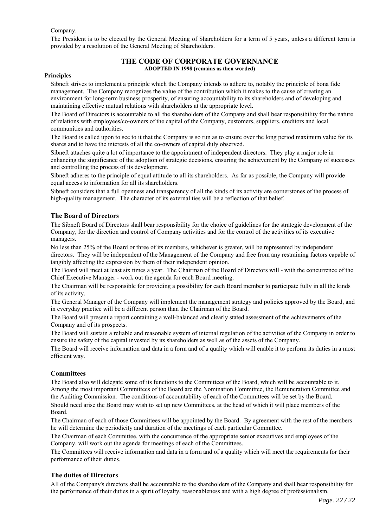#### Company.

The President is to be elected by the General Meeting of Shareholders for a term of 5 years, unless a different term is provided by a resolution of the General Meeting of Shareholders.

### **THE CODE OF CORPORATE GOVERNANCE ADOPTED IN 1998 (remains as then worded)**

#### **Principles**

Sibneft strives to implement a principle which the Company intends to adhere to, notably the principle of bona fide management. The Company recognizes the value of the contribution which it makes to the cause of creating an environment for long-term business prosperity, of ensuring accountability to its shareholders and of developing and maintaining effective mutual relations with shareholders at the appropriate level.

The Board of Directors is accountable to all the shareholders of the Company and shall bear responsibility for the nature of relations with employees/co-owners of the capital of the Company, customers, suppliers, creditors and local communities and authorities.

The Board is called upon to see to it that the Company is so run as to ensure over the long period maximum value for its shares and to have the interests of all the co-owners of capital duly observed.

Sibneft attaches quite a lot of importance to the appointment of independent directors. They play a major role in enhancing the significance of the adoption of strategic decisions, ensuring the achievement by the Company of successes and controlling the process of its development.

Sibneft adheres to the principle of equal attitude to all its shareholders. As far as possible, the Company will provide equal access to information for all its shareholders.

Sibneft considers that a full openness and transparency of all the kinds of its activity are cornerstones of the process of high-quality management. The character of its external ties will be a reflection of that belief.

#### **The Board of Directors**

The Sibneft Board of Directors shall bear responsibility for the choice of guidelines for the strategic development of the Company, for the direction and control of Company activities and for the control of the activities of its executive managers.

No less than 25% of the Board or three of its members, whichever is greater, will be represented by independent directors. They will be independent of the Management of the Company and free from any restraining factors capable of tangibly affecting the expression by them of their independent opinion.

The Board will meet at least six times a year. The Chairman of the Board of Directors will - with the concurrence of the Chief Executive Manager - work out the agenda for each Board meeting.

The Chairman will be responsible for providing a possibility for each Board member to participate fully in all the kinds of its activity.

The General Manager of the Company will implement the management strategy and policies approved by the Board, and in everyday practice will be a different person than the Chairman of the Board.

The Board will present a report containing a well-balanced and clearly stated assessment of the achievements of the Company and of its prospects.

The Board will sustain a reliable and reasonable system of internal regulation of the activities of the Company in order to ensure the safety of the capital invested by its shareholders as well as of the assets of the Company.

The Board will receive information and data in a form and of a quality which will enable it to perform its duties in a most efficient way.

### **Committees**

The Board also will delegate some of its functions to the Committees of the Board, which will be accountable to it. Among the most important Committees of the Board are the Nomination Committee, the Remuneration Committee and the Auditing Commission. The conditions of accountability of each of the Committees will be set by the Board. Should need arise the Board may wish to set up new Committees, at the head of which it will place members of the Board.

The Chairman of each of those Committees will be appointed by the Board. By agreement with the rest of the members he will determine the periodicity and duration of the meetings of each particular Committee.

The Chairman of each Committee, with the concurrence of the appropriate senior executives and employees of the Company, will work out the agenda for meetings of each of the Committees.

The Committees will receive information and data in a form and of a quality which will meet the requirements for their performance of their duties.

#### **The duties of Directors**

All of the Company's directors shall be accountable to the shareholders of the Company and shall bear responsibility for the performance of their duties in a spirit of loyalty, reasonableness and with a high degree of professionalism.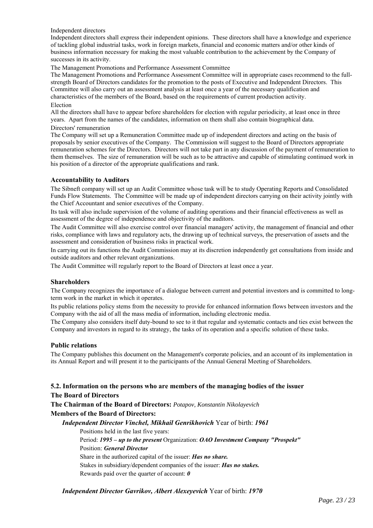Independent directors

Independent directors shall express their independent opinions. These directors shall have a knowledge and experience of tackling global industrial tasks, work in foreign markets, financial and economic matters and/or other kinds of business information necessary for making the most valuable contribution to the achievement by the Company of successes in its activity.

The Management Promotions and Performance Assessment Committee

The Management Promotions and Performance Assessment Committee will in appropriate cases recommend to the fullstrength Board of Directors candidates for the promotion to the posts of Executive and Independent Directors. This Committee will also carry out an assessment analysis at least once a year of the necessary qualification and characteristics of the members of the Board, based on the requirements of current production activity.

#### Election

All the directors shall have to appear before shareholders for election with regular periodicity, at least once in three years. Apart from the names of the candidates, information on them shall also contain biographical data.

#### Directors' remuneration

The Company will set up a Remuneration Committee made up of independent directors and acting on the basis of proposals by senior executives of the Company. The Commission will suggest to the Board of Directors appropriate remuneration schemes for the Directors. Directors will not take part in any discussion of the payment of remuneration to them themselves. The size of remuneration will be such as to be attractive and capable of stimulating continued work in his position of a director of the appropriate qualifications and rank.

### **Accountability to Auditors**

The Sibneft company will set up an Audit Committee whose task will be to study Operating Reports and Consolidated Funds Flow Statements. The Committee will be made up of independent directors carrying on their activity jointly with the Chief Accountant and senior executives of the Company.

Its task will also include supervision of the volume of auditing operations and their financial effectiveness as well as assessment of the degree of independence and objectivity of the auditors.

The Audit Committee will also exercise control over financial managers' activity, the management of financial and other risks, compliance with laws and regulatory acts, the drawing up of technical surveys, the preservation of assets and the assessment and consideration of business risks in practical work.

In carrying out its functions the Audit Commission may at its discretion independently get consultations from inside and outside auditors and other relevant organizations.

The Audit Committee will regularly report to the Board of Directors at least once a year.

### **Shareholders**

The Company recognizes the importance of a dialogue between current and potential investors and is committed to longterm work in the market in which it operates.

Its public relations policy stems from the necessity to provide for enhanced information flows between investors and the Company with the aid of all the mass media of information, including electronic media.

The Company also considers itself duty-bound to see to it that regular and systematic contacts and ties exist between the Company and investors in regard to its strategy, the tasks of its operation and a specific solution of these tasks.

### **Public relations**

The Company publishes this document on the Management's corporate policies, and an account of its implementation in its Annual Report and will present it to the participants of the Annual General Meeting of Shareholders.

# **5.2. Information on the persons who are members of the managing bodies of the issuer The Board of Directors**

**The Chairman of the Board of Directors:** *Potapov, Konstantin Nikolayevich* **Members of the Board of Directors:**

*Independent Director Vinchel, Mikhail Genrikhovich* Year of birth: *1961*

Positions held in the last five years:

Period: *1995 – up to the present* Organization: *ОАО Investment Company "Prospekt"* Position: *General Director* 

Share in the authorized capital of the issuer: *Has no share.* 

Stakes in subsidiary/dependent companies of the issuer: *Has no stakes.* 

Rewards paid over the quarter of account: *0*

*Independent Director Gavrikov, Albert Alexeyevich* Year of birth: *1970*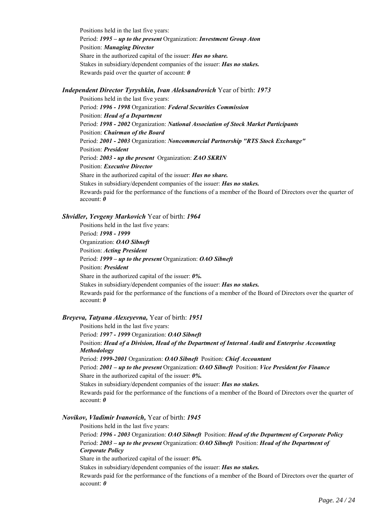Positions held in the last five years: Period: *1995 – up to the present* Organization: *Investment Group Aton* Position: *Managing Director*  Share in the authorized capital of the issuer: *Has no share.*  Stakes in subsidiary/dependent companies of the issuer: *Has no stakes.*  Rewards paid over the quarter of account: *0*

#### *Independent Director Tyryshkin, Ivan Aleksandrovich* Year of birth: *1973*

Positions held in the last five years: Period: *1996 - 1998* Organization: *Federal Securities Commission* Position: *Head of a Department* Period: *1998 - 2002* Organization: *National Association of Stock Market Participants* Position: *Chairman of the Board* Period: *2001 - 2003* Organization: *Noncommercial Partnership "RTS Stock Exchange"* Position: *President* Period: *2003 - up the present* Organization: *ZAO SKRIN* Position: *Executive Director*  Share in the authorized capital of the issuer: *Has no share.*  Stakes in subsidiary/dependent companies of the issuer: *Has no stakes.*  Rewards paid for the performance of the functions of a member of the Board of Directors over the quarter of account: *0*

#### *Shvidler, Yevgeny Markovich* Year of birth: *1964*

Positions held in the last five years: Period: *1998 - 1999*  Organization: *ОАО Sibneft* Position: *Acting President* Period: *1999 – up to the present* Organization: *OAO Sibneft* Position: *President*  Share in the authorized capital of the issuer: *0%.*  Stakes in subsidiary/dependent companies of the issuer: *Has no stakes.*  Rewards paid for the performance of the functions of a member of the Board of Directors over the quarter of account: *0*

#### *Breyeva, Tatyana Alexeyevna,* Year of birth: *1951*

Positions held in the last five years:

Period: *1997 - 1999* Organization: *ОАО Sibneft*

Position: *Head of a Division, Head of the Department of Internal Audit and Enterprise Accounting Methodology*

Period: *1999-2001* Organization: *OAO Sibneft* Position: *Chief Accountant*

Period: *2001 – up to the present* Organization: *OAO Sibneft* Position: *Vice President for Finance* Share in the authorized capital of the issuer: *0%.* 

Stakes in subsidiary/dependent companies of the issuer: *Has no stakes.* 

Rewards paid for the performance of the functions of a member of the Board of Directors over the quarter of account: *0*

#### *Novikov, Vladimir Ivanovich,* Year of birth: *1945*

Positions held in the last five years: Period: *1996 - 2003* Organization: *ОАО Sibneft* Position: *Head of the Department of Corporate Policy* Period: *2003 – up to the present* Organization: *OAO Sibneft* Position: *Head of the Department of Corporate Policy* 

Share in the authorized capital of the issuer: *0%.* 

Stakes in subsidiary/dependent companies of the issuer: *Has no stakes.* 

Rewards paid for the performance of the functions of a member of the Board of Directors over the quarter of account: *0*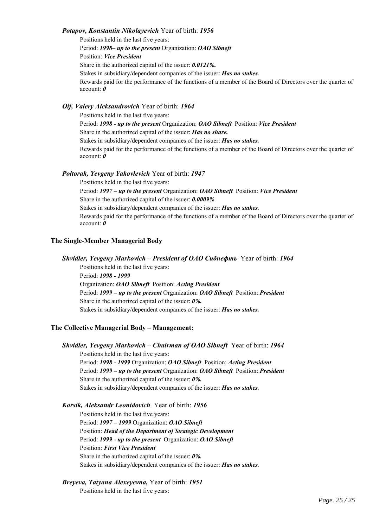#### *Potapov, Konstantin Nikolayevich* Year of birth: *1956*

Positions held in the last five years: Period: *1998– up to the present* Organization: *OAO Sibneft* Position: *Vice President*  Share in the authorized capital of the issuer: *0.0121%.* Stakes in subsidiary/dependent companies of the issuer: *Has no stakes.*  Rewards paid for the performance of the functions of a member of the Board of Directors over the quarter of account: *0*

# *Oif, Valery Aleksandrovich* Year of birth: *1964*

Positions held in the last five years: Period: *1998 - up to the present* Organization: *OAO Sibneft* Position: *Vice President*  Share in the authorized capital of the issuer: *Has no share.*  Stakes in subsidiary/dependent companies of the issuer: *Has no stakes.*  Rewards paid for the performance of the functions of a member of the Board of Directors over the quarter of account: *0*

#### *Poltorak, Yevgeny Yakovlevich* Year of birth: *1947*

Positions held in the last five years: Period: *1997 – up to the present* Organization: *OAO Sibneft* Position: *Vice President*  Share in the authorized capital of the issuer: *0.0009%* Stakes in subsidiary/dependent companies of the issuer: *Has no stakes.*  Rewards paid for the performance of the functions of a member of the Board of Directors over the quarter of account: *0*

#### **The Single-Member Managerial Body**

*Shvidler, Yevgeny Markovich – President of OAO Сибнефть* Year of birth: *1964* Positions held in the last five years: Period: *1998 - 1999*  Organization: *ОАО Sibneft* Position: *Acting President* Period: *1999 – up to the present* Organization: *OAO Sibneft* Position: *President*  Share in the authorized capital of the issuer: *0%.*  Stakes in subsidiary/dependent companies of the issuer: *Has no stakes.* 

#### **The Collective Managerial Body – Management:**

*Shvidler, Yevgeny Markovich – Chairman of ОАО Sibneft* Year of birth: *1964* Positions held in the last five years: Period: *1998 - 1999* Organization: *ОАО Sibneft* Position: *Acting President* Period: *1999 – up to the present* Organization: *OAO Sibneft* Position: *President*  Share in the authorized capital of the issuer: *0%.*  Stakes in subsidiary/dependent companies of the issuer: *Has no stakes.* 

#### *Korsik, Aleksandr Leonidovich* Year of birth: *1956*

Positions held in the last five years: Period: *1997 – 1999* Organization: *ОАО Sibneft*  Position: *Head of the Department of Strategic Development* Period: *1999 - up to the present* Organization: *ОАО Sibneft*  Position: *First Vice President* Share in the authorized capital of the issuer: *0%.*  Stakes in subsidiary/dependent companies of the issuer: *Has no stakes.* 

#### *Breyeva, Tatyana Alexeyevna,* Year of birth: *1951*

Positions held in the last five years: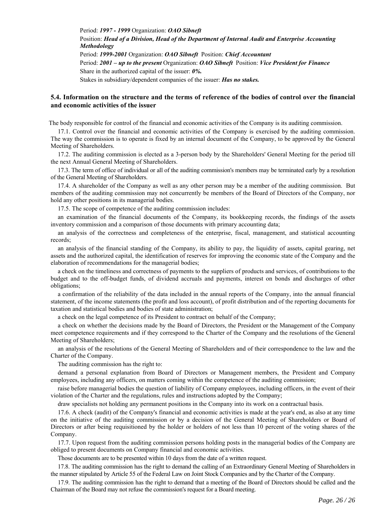Period: *1997 - 1999* Organization: *ОАО Sibneft*  Position: *Head of a Division, Head of the Department of Internal Audit and Enterprise Accounting Methodology* Period: *1999-2001* Organization: *OAO Sibneft* Position: *Chief Accountant* Period: *2001 – up to the present* Organization: *OAO Sibneft* Position: *Vice President for Finance* Share in the authorized capital of the issuer: *0%.*  Stakes in subsidiary/dependent companies of the issuer: *Has no stakes.* 

### **5.4. Information on the structure and the terms of reference of the bodies of control over the financial and economic activities of the issuer**

The body responsible for control of the financial and economic activities of the Company is its auditing commission.

17.1. Control over the financial and economic activities of the Company is exercised by the auditing commission. The way the commission is to operate is fixed by an internal document of the Company, to be approved by the General Meeting of Shareholders.

17.2. The auditing commission is elected as a 3-person body by the Shareholders' General Meeting for the period till the next Annual General Meeting of Shareholders.

17.3. The term of office of individual or all of the auditing commission's members may be terminated early by a resolution of the General Meeting of Shareholders.

17.4. A shareholder of the Company as well as any other person may be a member of the auditing commission. But members of the auditing commission may not concurrently be members of the Board of Directors of the Company, nor hold any other positions in its managerial bodies.

17.5. The scope of competence of the auditing commission includes:

an examination of the financial documents of the Company, its bookkeeping records, the findings of the assets inventory commission and a comparison of those documents with primary accounting data;

an analysis of the correctness and completeness of the enterprise, fiscal, management, and statistical accounting records;

an analysis of the financial standing of the Company, its ability to pay, the liquidity of assets, capital gearing, net assets and the authorized capital, the identification of reserves for improving the economic state of the Company and the elaboration of recommendations for the managerial bodies;

a check on the timeliness and correctness of payments to the suppliers of products and services, of contributions to the budget and to the off-budget funds, of dividend accruals and payments, interest on bonds and discharges of other obligations;

a confirmation of the reliability of the data included in the annual reports of the Company, into the annual financial statement, of the income statements (the profit and loss account), of profit distribution and of the reporting documents for taxation and statistical bodies and bodies of state administration;

a check on the legal competence of its President to contract on behalf of the Company;

a check on whether the decisions made by the Board of Directors, the President or the Management of the Company meet competence requirements and if they correspond to the Charter of the Company and the resolutions of the General Meeting of Shareholders;

an analysis of the resolutions of the General Meeting of Shareholders and of their correspondence to the law and the Charter of the Company.

The auditing commission has the right to:

demand a personal explanation from Board of Directors or Management members, the President and Company employees, including any officers, on matters coming within the competence of the auditing commission;

raise before managerial bodies the question of liability of Company employees, including officers, in the event of their violation of the Charter and the regulations, rules and instructions adopted by the Company;

draw specialists not holding any permanent positions in the Company into its work on a contractual basis.

17.6. A check (audit) of the Company's financial and economic activities is made at the year's end, as also at any time on the initiative of the auditing commission or by a decision of the General Meeting of Shareholders or Board of Directors or after being requisitioned by the holder or holders of not less than 10 percent of the voting shares of the Company.

17.7. Upon request from the auditing commission persons holding posts in the managerial bodies of the Company are obliged to present documents on Company financial and economic activities.

Those documents are to be presented within 10 days from the date of a written request.

17.8. The auditing commission has the right to demand the calling of an Extraordinary General Meeting of Shareholders in the manner stipulated by Article 55 of the Federal Law on Joint Stock Companies and by the Charter of the Company.

17.9. The auditing commission has the right to demand that a meeting of the Board of Directors should be called and the Chairman of the Board may not refuse the commission's request for a Board meeting.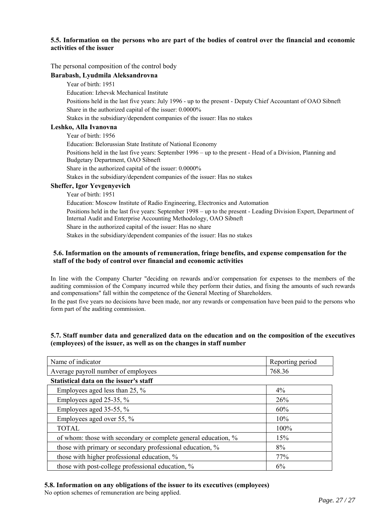# **5.5. Information on the persons who are part of the bodies of control over the financial and economic activities of the issuer**

#### The personal composition of the control body

### **Barabash, Lyudmila Aleksandrovna**

#### Year of birth: 1951

Education: Izhevsk Mechanical Institute

Positions held in the last five years: July 1996 - up to the present - Deputy Chief Accountant of OAO Sibneft Share in the authorized capital of the issuer: 0.0000%

Stakes in the subsidiary/dependent companies of the issuer: Has no stakes

# **Leshko, Alla Ivanovna**

Year of birth: 1956

Education: Belorussian State Institute of National Economy

Positions held in the last five years: September 1996 – up to the present - Head of a Division, Planning and Budgetary Department, OAO Sibneft

Share in the authorized capital of the issuer: 0.0000%

Stakes in the subsidiary/dependent companies of the issuer: Has no stakes

#### **Sheffer, Igor Yevgenyevich**

Year of birth: 1951

Education: Moscow Institute of Radio Engineering, Electronics and Automation

Positions held in the last five years: September 1998 – up to the present - Leading Division Expert, Department of Internal Audit and Enterprise Accounting Methodology, OAO Sibneft

Share in the authorized capital of the issuer: Has no share

Stakes in the subsidiary/dependent companies of the issuer: Has no stakes

### **5.6. Information on the amounts of remuneration, fringe benefits, and expense compensation for the staff of the body of control over financial and economic activities**

In line with the Company Charter "deciding on rewards and/or compensation for expenses to the members of the auditing commission of the Company incurred while they perform their duties, and fixing the amounts of such rewards and compensations" fall within the competence of the General Meeting of Shareholders.

In the past five years no decisions have been made, nor any rewards or compensation have been paid to the persons who form part of the auditing commission.

# **5.7. Staff number data and generalized data on the education and on the composition of the executives (employees) of the issuer, as well as on the changes in staff number**

| Name of indicator                                              | Reporting period |  |
|----------------------------------------------------------------|------------------|--|
| Average payroll number of employees                            | 768.36           |  |
| Statistical data on the issuer's staff                         |                  |  |
| Employees aged less than 25, $\%$                              | $4\%$            |  |
| Employees aged 25-35, $\%$                                     | 26%              |  |
| Employees aged 35-55, $\%$                                     | 60%              |  |
| Employees aged over 55, %                                      | 10%              |  |
| <b>TOTAL</b>                                                   | 100%             |  |
| of whom: those with secondary or complete general education, % | 15%              |  |
| those with primary or secondary professional education, %      | 8%               |  |
| those with higher professional education, %                    | 77%              |  |
| those with post-college professional education, %              | 6%               |  |

# **5.8. Information on any obligations of the issuer to its executives (employees)**

No option schemes of remuneration are being applied.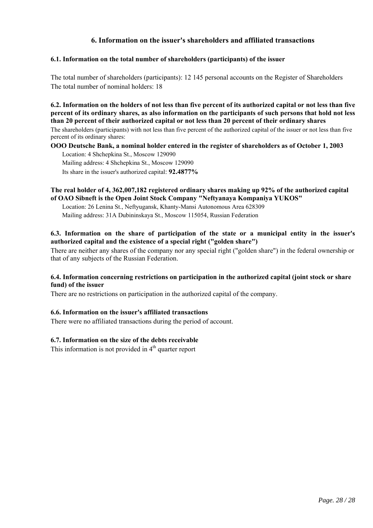# **6. Information on the issuer's shareholders and affiliated transactions**

# **6.1. Information on the total number of shareholders (participants) of the issuer**

The total number of shareholders (participants): 12 145 personal accounts on the Register of Shareholders The total number of nominal holders: 18

**6.2. Information on the holders of not less than five percent of its authorized capital or not less than five percent of its ordinary shares, as also information on the participants of such persons that hold not less than 20 percent of their authorized capital or not less than 20 percent of their ordinary shares** The shareholders (participants) with not less than five percent of the authorized capital of the issuer or not less than five

percent of its ordinary shares:

# **OOO Deutsche Bank, a nominal holder entered in the register of shareholders as of October 1, 2003**

Location: 4 Shchepkina St., Moscow 129090 Mailing address: 4 Shchepkina St., Moscow 129090

Its share in the issuer's authorized capital: **92.4877%**

# **The real holder of 4, 362,007,182 registered ordinary shares making up 92% of the authorized capital of ОАО Sibneft is the Open Joint Stock Company "Neftyanaya Kompaniya YUKOS"**

Location: 26 Lenina St., Neftyugansk, Khanty-Mansi Autonomous Area 628309 Mailing address: 31A Dubininskaya St., Moscow 115054, Russian Federation

# **6.3. Information on the share of participation of the state or a municipal entity in the issuer's authorized capital and the existence of a special right ("golden share")**

There are neither any shares of the company nor any special right ("golden share") in the federal ownership or that of any subjects of the Russian Federation.

# **6.4. Information concerning restrictions on participation in the authorized capital (joint stock or share fund) of the issuer**

There are no restrictions on participation in the authorized capital of the company.

# **6.6. Information on the issuer's affiliated transactions**

There were no affiliated transactions during the period of account.

# **6.7. Information on the size of the debts receivable**

This information is not provided in  $4<sup>th</sup>$  quarter report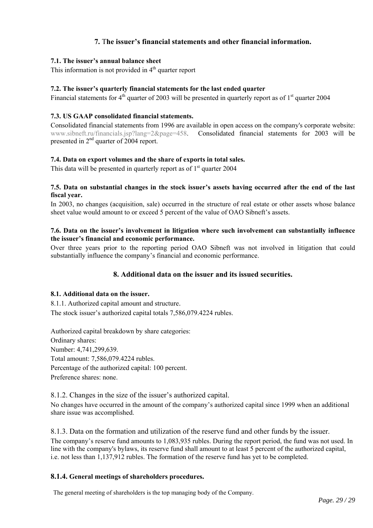# **7.** T**he issuer's financial statements and other financial information.**

# **7.1. The issuer's annual balance sheet**

This information is not provided in  $4<sup>th</sup>$  quarter report

# **7.2. The issuer's quarterly financial statements for the last ended quarter**

Financial statements for  $4<sup>th</sup>$  quarter of 2003 will be presented in quarterly report as of  $1<sup>st</sup>$  quarter 2004

# **7.3. US GAAP consolidated financial statements.**

Consolidated financial statements from 1996 are available in open access on the company's corporate website: www.sibneft.ru/financials.jsp?lang=2&page=458. Consolidated financial statements for 2003 will be presented in 2<sup>nd</sup> quarter of 2004 report.

# **7.4. Data on export volumes and the share of exports in total sales.**

This data will be presented in quarterly report as of  $1<sup>st</sup>$  quarter 2004

### **7.5. Data on substantial changes in the stock issuer's assets having occurred after the end of the last fiscal year.**

In 2003, no changes (acquisition, sale) occurred in the structure of real estate or other assets whose balance sheet value would amount to or exceed 5 percent of the value of OAO Sibneft's assets.

# **7.6. Data on the issuer's involvement in litigation where such involvement can substantially influence the issuer's financial and economic performance.**

Over three years prior to the reporting period OAO Sibneft was not involved in litigation that could substantially influence the company's financial and economic performance.

# **8. Additional data on the issuer and its issued securities.**

### **8.1. Additional data on the issuer.**

8.1.1. Authorized capital amount and structure. The stock issuer's authorized capital totals 7,586,079.4224 rubles.

Authorized capital breakdown by share categories: Ordinary shares: Number: 4,741,299,639. Total amount: 7,586,079.4224 rubles. Percentage of the authorized capital: 100 percent. Preference shares: none.

8.1.2. Changes in the size of the issuer's authorized capital.

No changes have occurred in the amount of the company's authorized capital since 1999 when an additional share issue was accomplished.

8.1.3. Data on the formation and utilization of the reserve fund and other funds by the issuer. The company's reserve fund amounts to 1,083,935 rubles. During the report period, the fund was not used. In line with the company's bylaws, its reserve fund shall amount to at least 5 percent of the authorized capital, i.e. not less than 1,137,912 rubles. The formation of the reserve fund has yet to be completed.

### **8.1.4. General meetings of shareholders procedures.**

The general meeting of shareholders is the top managing body of the Company.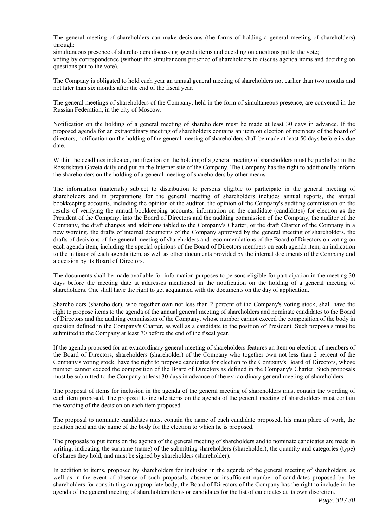The general meeting of shareholders can make decisions (the forms of holding a general meeting of shareholders) through:

simultaneous presence of shareholders discussing agenda items and deciding on questions put to the vote; voting by correspondence (without the simultaneous presence of shareholders to discuss agenda items and deciding on questions put to the vote).

The Company is obligated to hold each year an annual general meeting of shareholders not earlier than two months and not later than six months after the end of the fiscal year.

The general meetings of shareholders of the Company, held in the form of simultaneous presence, are convened in the Russian Federation, in the city of Moscow.

Notification on the holding of a general meeting of shareholders must be made at least 30 days in advance. If the proposed agenda for an extraordinary meeting of shareholders contains an item on election of members of the board of directors, notification on the holding of the general meeting of shareholders shall be made at least 50 days before its due date.

Within the deadlines indicated, notification on the holding of a general meeting of shareholders must be published in the Rossiiskaya Gazeta daily and put on the Internet site of the Company. The Company has the right to additionally inform the shareholders on the holding of a general meeting of shareholders by other means.

The information (materials) subject to distribution to persons eligible to participate in the general meeting of shareholders and in preparations for the general meeting of shareholders includes annual reports, the annual bookkeeping accounts, including the opinion of the auditor, the opinion of the Company's auditing commission on the results of verifying the annual bookkeeping accounts, information on the candidate (candidates) for election as the President of the Company, into the Board of Directors and the auditing commission of the Company, the auditor of the Company, the draft changes and additions tabled to the Company's Charter, or the draft Charter of the Company in a new wording, the drafts of internal documents of the Company approved by the general meeting of shareholders, the drafts of decisions of the general meeting of shareholders and recommendations of the Board of Directors on voting on each agenda item, including the special opinions of the Board of Directors members on each agenda item, an indication to the initiator of each agenda item, as well as other documents provided by the internal documents of the Company and a decision by its Board of Directors.

The documents shall be made available for information purposes to persons eligible for participation in the meeting 30 days before the meeting date at addresses mentioned in the notification on the holding of a general meeting of shareholders. One shall have the right to get acquainted with the documents on the day of application.

Shareholders (shareholder), who together own not less than 2 percent of the Company's voting stock, shall have the right to propose items to the agenda of the annual general meeting of shareholders and nominate candidates to the Board of Directors and the auditing commission of the Company, whose number cannot exceed the composition of the body in question defined in the Company's Charter, as well as a candidate to the position of President. Such proposals must be submitted to the Company at least 70 before the end of the fiscal year.

If the agenda proposed for an extraordinary general meeting of shareholders features an item on election of members of the Board of Directors, shareholders (shareholder) of the Company who together own not less than 2 percent of the Company's voting stock, have the right to propose candidates for election to the Company's Board of Directors, whose number cannot exceed the composition of the Board of Directors as defined in the Company's Charter. Such proposals must be submitted to the Company at least 30 days in advance of the extraordinary general meeting of shareholders.

The proposal of items for inclusion in the agenda of the general meeting of shareholders must contain the wording of each item proposed. The proposal to include items on the agenda of the general meeting of shareholders must contain the wording of the decision on each item proposed.

The proposal to nominate candidates must contain the name of each candidate proposed, his main place of work, the position held and the name of the body for the election to which he is proposed.

The proposals to put items on the agenda of the general meeting of shareholders and to nominate candidates are made in writing, indicating the surname (name) of the submitting shareholders (shareholder), the quantity and categories (type) of shares they hold, and must be signed by shareholders (shareholder).

In addition to items, proposed by shareholders for inclusion in the agenda of the general meeting of shareholders, as well as in the event of absence of such proposals, absence or insufficient number of candidates proposed by the shareholders for constituting an appropriate body, the Board of Directors of the Company has the right to include in the agenda of the general meeting of shareholders items or candidates for the list of candidates at its own discretion.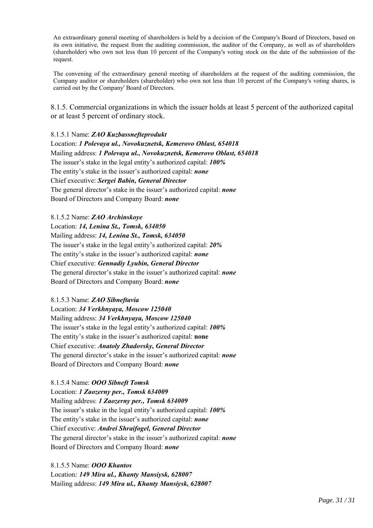An extraordinary general meeting of shareholders is held by a decision of the Company's Board of Directors, based on its own initiative, the request from the auditing commission, the auditor of the Company, as well as of shareholders (shareholder) who own not less than 10 percent of the Company's voting stock on the date of the submission of the request.

The convening of the extraordinary general meeting of shareholders at the request of the auditing commission, the Company auditor or shareholders (shareholder) who own not less than 10 percent of the Company's voting shares, is carried out by the Company' Board of Directors.

8.1.5. Commercial organizations in which the issuer holds at least 5 percent of the authorized capital or at least 5 percent of ordinary stock.

8.1.5.1 Name: *ZAO Kuzbassnefteprodukt*

Location: *1 Polevaya ul., Novokuznetsk, Kemerovo Oblast, 654018* Mailing address: *1 Polevaya ul., Novokuznetsk, Kemerovo Oblast, 654018* The issuer's stake in the legal entity's authorized capital: *100%* The entity's stake in the issuer's authorized capital: *none* Chief executive: *Sergei Babin, General Director*  The general director's stake in the issuer's authorized capital: *none*  Board of Directors and Company Board: *none* 

8.1.5.2 Name: *ZAO Archinskoye* Location: *14, Lenina St., Tomsk, 634050* Mailing address: *14, Lenina St., Tomsk, 634050*  The issuer's stake in the legal entity's authorized capital: *20%* The entity's stake in the issuer's authorized capital: *none* Chief executive: *Gennadiy Lyubin, General Director*  The general director's stake in the issuer's authorized capital: *none*  Board of Directors and Company Board: *none*

### 8.1.5.3 Name: *ZAO Sibneftavia*

Location: *34 Verkhnyaya, Moscow 125040* Mailing address: *34 Verkhnyaya, Moscow 125040* The issuer's stake in the legal entity's authorized capital: *100%* The entity's stake in the issuer's authorized capital: **none** Chief executive: *Anatoly Zhadovsky, General Director*  The general director's stake in the issuer's authorized capital: *none* Board of Directors and Company Board: *none*

8.1.5.4 Name: *OOO Sibneft Tomsk* Location: *1 Zaozerny per., Tomsk 634009* Mailing address: *1 Zaozerny per., Tomsk 634009* The issuer's stake in the legal entity's authorized capital: *100%* The entity's stake in the issuer's authorized capital: *none* Chief executive: *Andrei Shraifogel, General Director*  The general director's stake in the issuer's authorized capital: *none* Board of Directors and Company Board: *none*

8.1.5.5 Name: *OOO Khantos* Location*: 149 Mira ul., Khanty Mansiysk, 628007* Mailing address: *149 Mira ul., Khanty Mansiysk, 628007*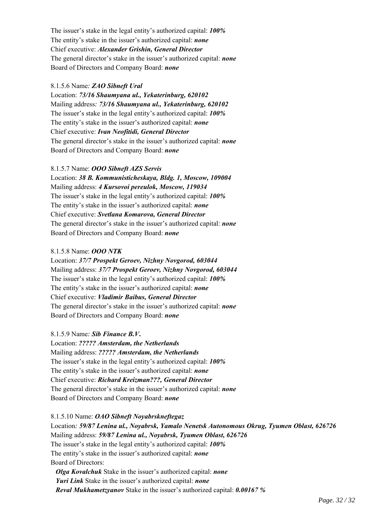The issuer's stake in the legal entity's authorized capital: *100%* The entity's stake in the issuer's authorized capital: *none* Chief executive: *Alexander Grishin, General Director*  The general director's stake in the issuer's authorized capital: *none* Board of Directors and Company Board: *none*

### 8.1.5.6 Name*: ZAO Sibneft Ural*

Location: *73/16 Shaumyana ul., Yekaterinburg, 620102* Mailing address*: 73/16 Shaumyana ul., Yekaterinburg, 620102* The issuer's stake in the legal entity's authorized capital: *100%* The entity's stake in the issuer's authorized capital: *none* Chief executive: *Ivan Neofitidi, General Director*  The general director's stake in the issuer's authorized capital: *none* Board of Directors and Company Board: *none*

#### 8.1.5.7 Name: *OOO Sibneft AZS Servis*

Location: *38 B. Kommunisticheskaya, Bldg. 1, Moscow, 109004* Mailing address: *4 Kursovoi pereulok, Moscow, 119034* The issuer's stake in the legal entity's authorized capital: *100%* The entity's stake in the issuer's authorized capital: *none* Chief executive: *Svetlana Komarova, General Director*  The general director's stake in the issuer's authorized capital: *none* Board of Directors and Company Board: *none*

## 8.1.5.8 Name: *OOO NTK*

Location: *37/7 Prospekt Geroev, Nizhny Novgorod, 603044* Mailing address: *37/7 Prospekt Geroev, Nizhny Novgorod, 603044* The issuer's stake in the legal entity's authorized capital: *100%* The entity's stake in the issuer's authorized capital: *none* Chief executive: *Vladimir Baibus, General Director* The general director's stake in the issuer's authorized capital: *none* Board of Directors and Company Board: *none*

# 8.1.5.9 Name*: Sib Finance B.V***.**

Location: *????? Amsterdam, the Netherlands* Mailing address: *????? Amsterdam, the Netherlands* The issuer's stake in the legal entity's authorized capital: *100%* The entity's stake in the issuer's authorized capital: *none* Chief executive: *Richard Kreizman???, General Director* The general director's stake in the issuer's authorized capital: *none* Board of Directors and Company Board: *none*

8.1.5.10 Name: *OAO Sibneft Noyabrskneftegaz* Location*: 59/87 Lenina ul., Noyabrsk, Yamalo Nenetsk Autonomous Okrug, Tyumen Oblast, 626726* Mailing address: *59/87 Lenina ul., Noyabrsk, Tyumen Oblast, 626726* The issuer's stake in the legal entity's authorized capital: *100%* The entity's stake in the issuer's authorized capital: *none* Board of Directors:

*Olga Kovalchuk* Stake in the issuer's authorized capital: *none Yuri Link* Stake in the issuer's authorized capital: *none Reval Mukhametzyanov* Stake in the issuer's authorized capital: *0.00167 %*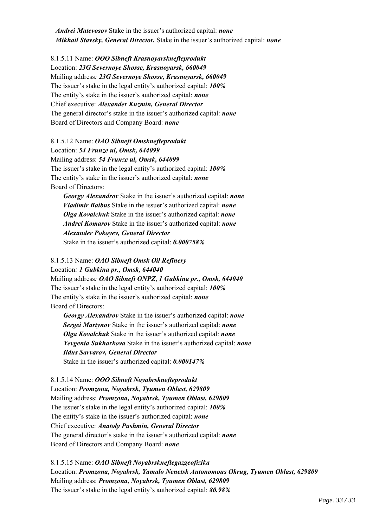*Andrei Matevosov* Stake in the issuer's authorized capital: *none Mikhail Stavsky, General Director.* Stake in the issuer's authorized capital: *none*

8.1.5.11 Name: *OOO Sibneft Krasnoyarsknefteprodukt* Location: *23G Severnoye Shosse, Krasnoyarsk, 660049* Mailing address*: 23G Severnoye Shosse, Krasnoyarsk, 660049* The issuer's stake in the legal entity's authorized capital: *100%* The entity's stake in the issuer's authorized capital: *none* Chief executive: *Alexander Kuzmin, General Director* The general director's stake in the issuer's authorized capital: *none* Board of Directors and Company Board: *none*

# 8.1.5.12 Name: *OAO Sibneft Omsknefteprodukt* Location: *54 Frunze ul, Omsk, 644099* Mailing address: *54 Frunze ul, Omsk, 644099* The issuer's stake in the legal entity's authorized capital: *100%* The entity's stake in the issuer's authorized capital: *none*

Board of Directors:

*Georgy Alexandrov* Stake in the issuer's authorized capital: *none Vladimir Baibus* Stake in the issuer's authorized capital: *none Olga Kovalchuk* Stake in the issuer's authorized capital: *none Andrei Komarov* Stake in the issuer's authorized capital: *none Alexander Pokoyev, General Director*  Stake in the issuer's authorized capital: *0.000758%*

# 8.1.5.13 Name: *OAO Sibneft Omsk Oil Refinery* Location*: 1 Gubkina pr., Omsk, 644040* Mailing address*: OAO Sibneft ONPZ, 1 Gubkina pr., Omsk, 644040* The issuer's stake in the legal entity's authorized capital: *100%* The entity's stake in the issuer's authorized capital: *none* Board of Directors:

*Georgy Alexandrov* Stake in the issuer's authorized capital: *none Sergei Martynov* Stake in the issuer's authorized capital: *none Olga Kovalchuk* Stake in the issuer's authorized capital: *none Yevgenia Sukharkova* Stake in the issuer's authorized capital: *none Ildus Sarvarov, General Director*  Stake in the issuer's authorized capital: *0.000147%* 

8.1.5.14 Name: *OOO Sibneft Noyabrsknefteprodukt* Location: *Promzona, Noyabrsk, Tyumen Oblast, 629809* Mailing address: *Promzona, Noyabrsk, Tyumen Oblast, 629809* The issuer's stake in the legal entity's authorized capital: *100%* The entity's stake in the issuer's authorized capital: *none* Chief executive: *Anatoly Pushmin, General Director* The general director's stake in the issuer's authorized capital: *none* Board of Directors and Company Board: *none*

8.1.5.15 Name: *OAO Sibneft Noyabrskneftegazgeofizika* Location: *Promzona, Noyabrsk, Yamalo Nenetsk Autonomous Okrug, Tyumen Oblast, 629809* Mailing address: *Promzona, Noyabrsk, Tyumen Oblast, 629809* The issuer's stake in the legal entity's authorized capital: *80.98%*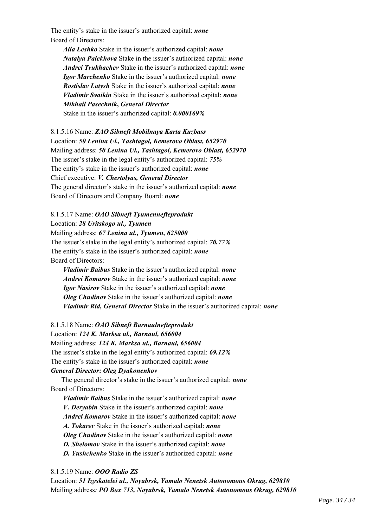The entity's stake in the issuer's authorized capital: *none* Board of Directors:

*Alla Leshko* Stake in the issuer's authorized capital: *none Natalya Palekhova* Stake in the issuer's authorized capital: *none Andrei Trukhachev* Stake in the issuer's authorized capital: *none Igor Marchenko* Stake in the issuer's authorized capital: *none Rostislav Latysh* Stake in the issuer's authorized capital: *none Vladimir Svaikin* Stake in the issuer's authorized capital: *none Mikhail Pasechnik***,** *General Director*

Stake in the issuer's authorized capital: *0.000169%*

8.1.5.16 Name: *ZAO Sibneft Mobilnaya Karta Kuzbass* Location: *50 Lenina Ul., Tashtagol, Kemerovo Oblast, 652970* Mailing address: *50 Lenina Ul., Tashtagol, Kemerovo Oblast, 652970* The issuer's stake in the legal entity's authorized capital: *75%* The entity's stake in the issuer's authorized capital: *none* Chief executive: *V. Chertolyas, General Director*  The general director's stake in the issuer's authorized capital: *none* Board of Directors and Company Board: *none*

### 8.1.5.17 Name: *OAO Sibneft Tyumennefteprodukt*

Location: *28 Uritskogo ul., Tyumen*

Mailing address: *67 Lenina ul., Tyumen, 625000*

The issuer's stake in the legal entity's authorized capital: *70.77%* The entity's stake in the issuer's authorized capital: *none* Board of Directors:

*Vladimir Baibus* Stake in the issuer's authorized capital: *none Andrei Komarov* Stake in the issuer's authorized capital: *none Igor Nasirov* Stake in the issuer's authorized capital: *none Oleg Chudinov* Stake in the issuer's authorized capital: *none Vladimir Rid, General Director* Stake in the issuer's authorized capital: *none*

### 8.1.5.18 Name: *OAO Sibneft Barnaulnefteprodukt* Location: *124 K. Marksa ul., Barnaul, 656004*

Mailing address: *124 K. Marksa ul., Barnaul, 656004*

The issuer's stake in the legal entity's authorized capital: *69.12%*

The entity's stake in the issuer's authorized capital: *none*

### *General Director***:** *Oleg Dyakonenkov*

The general director's stake in the issuer's authorized capital: *none* Board of Directors:

*Vladimir Baibus* Stake in the issuer's authorized capital: *none V. Deryabin* Stake in the issuer's authorized capital: *none Andrei Komarov* Stake in the issuer's authorized capital: *none A. Tokarev* Stake in the issuer's authorized capital: *none Oleg Chudinov* Stake in the issuer's authorized capital: *none D. Shelomov* Stake in the issuer's authorized capital: *none D. Yushchenko* Stake in the issuer's authorized capital: *none*

# 8.1.5.19 Name: *OOO Radio ZS*

Location: *51 Izyskatelei ul., Noyabrsk, Yamalo Nenetsk Autonomous Okrug, 629810* Mailing address*: PO Box 713, Noyabrsk, Yamalo Nenetsk Autonomous Okrug, 629810*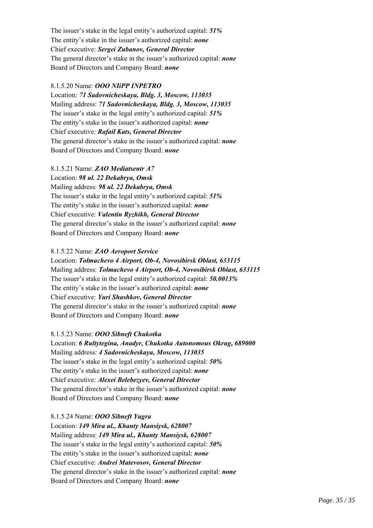The issuer's stake in the legal entity's authorized capital: *51%* The entity's stake in the issuer's authorized capital: *none* Chief executive: *Sergei Zubanov, General Director*  The general director's stake in the issuer's authorized capital: *none* Board of Directors and Company Board: *none*

# 8.1.5.20 Name: *OOO NIiPP INPETRO*

Location*: 71 Sadovnicheskaya, Bldg. 3, Moscow, 113035* Mailing address: *71 Sadovnicheskaya, Bldg. 3, Moscow, 113035* The issuer's stake in the legal entity's authorized capital: *51%* The entity's stake in the issuer's authorized capital: *none* Chief executive: *Rafail Kats, General Director* The general director's stake in the issuer's authorized capital: *none* Board of Directors and Company Board: *none*

8.1.5.21 Name: *ZAO Mediatsentr A7* Location: *98 ul. 22 Dekabrya, Omsk* Mailing address: *98 ul. 22 Dekabrya, Omsk* The issuer's stake in the legal entity's authorized capital: *51%* The entity's stake in the issuer's authorized capital: *none* Chief executive: *Valentin Ryzhikh, General Director* The general director's stake in the issuer's authorized capital: *none* Board of Directors and Company Board: *none*

### 8.1.5.22 Name: *ZAO Aeroport Service*

Location: *Tolmachevo 4 Airport, Ob-4, Novosibirsk Oblast, 633115* Mailing address: *Tolmachevo 4 Airport, Ob-4, Novosibirsk Oblast, 633115* The issuer's stake in the legal entity's authorized capital: *50.0013%* The entity's stake in the issuer's authorized capital: *none* Chief executive: *Yuri Shashkov, General Director*  The general director's stake in the issuer's authorized capital: *none* Board of Directors and Company Board: *none*

# 8.1.5.23 Name: *OOO Sibneft Chukotka*

Location: *6 Rultytegina, Anadyr, Chukotka Autonomous Okrug, 689000* Mailing address*: 4 Sadovnicheskaya, Moscow, 113035* The issuer's stake in the legal entity's authorized capital: *50%* The entity's stake in the issuer's authorized capital: *none* Chief executive: *Alexei Belebezyev, General Director*  The general director's stake in the issuer's authorized capital: *none* Board of Directors and Company Board: *none*

8.1.5.24 Name: *OOO Sibneft Yugra* Location: *149 Mira ul., Khanty Mansiysk, 628007* Mailing address: *149 Mira ul., Khanty Mansiysk, 628007* The issuer's stake in the legal entity's authorized capital: *50%* The entity's stake in the issuer's authorized capital: *none* Chief executive: *Andrei Matevosov, General Director*  The general director's stake in the issuer's authorized capital: *none* Board of Directors and Company Board: *none*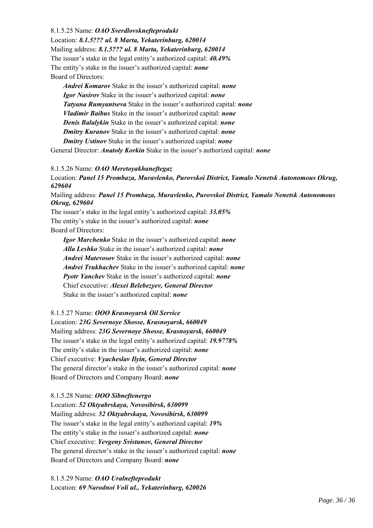8.1.5.25 Name: *OAO Sverdlovsknefteprodukt*

Location*: 8.1.5??? ul. 8 Marta, Yekaterinburg, 620014* Mailing address: *8.1.5??? ul. 8 Marta, Yekaterinburg, 620014* The issuer's stake in the legal entity's authorized capital: *40.49%* The entity's stake in the issuer's authorized capital: *none* Board of Directors:

*Andrei Komarov* Stake in the issuer's authorized capital: *none Igor Nasirov* Stake in the issuer's authorized capital: *none Tatyana Rumyantseva* Stake in the issuer's authorized capital: *none Vladimir Baibus* Stake in the issuer's authorized capital: *none Denis Balalykin* Stake in the issuer's authorized capital: *none Dmitry Kuranov* Stake in the issuer's authorized capital: *none Dmitry Ustinov* Stake in the issuer's authorized capital: *none*

General Director: *Anatoly Korkin* Stake in the issuer's authorized capital: *none*

# 8.1.5.26 Name: *OAO Meretoyakhaneftegaz*

Location: *Panel 15 Prombaza, Muravlenko, Purovskoi District, Yamalo Nenetsk Autonomous Okrug, 629604*

Mailing address: *Panel 15 Prombaza, Muravlenko, Purovskoi District, Yamalo Nenetsk Autonomous Okrug, 629604*

The issuer's stake in the legal entity's authorized capital: *33.05%* The entity's stake in the issuer's authorized capital: *none* Board of Directors:

*Igor Marchenko* Stake in the issuer's authorized capital: *none Alla Leshko* Stake in the issuer's authorized capital: *none Andrei Matevosov* Stake in the issuer's authorized capital: *none Andrei Trukhachev* Stake in the issuer's authorized capital: *none Pyotr Yanchev* Stake in the issuer's authorized capital: *none* Chief executive: *Alexei Belebezyev, General Director* Stake in the issuer's authorized capital: *none* 

### 8.1.5.27 Name: *OOO Krasnoyarsk Oil Service*

Location*: 23G Severnoye Shosse, Krasnoyarsk, 660049* Mailing address: *23G Severnoye Shosse, Krasnoyarsk, 660049* The issuer's stake in the legal entity's authorized capital: *19.9778%* The entity's stake in the issuer's authorized capital: *none* Chief executive: *Vyacheslav Ilyin, General Director* The general director's stake in the issuer's authorized capital: *none* Board of Directors and Company Board: *none*

### 8.1.5.28 Name: *OOO Sibneftenergo*

Location: *52 Oktyabrskaya, Novosibirsk, 630099* Mailing address: *52 Oktyabrskaya, Novosibirsk, 630099* The issuer's stake in the legal entity's authorized capital: *19%* The entity's stake in the issuer's authorized capital: *none* Chief executive: *Yevgeny Svistunov, General Director* The general director's stake in the issuer's authorized capital: *none* Board of Directors and Company Board: *none*

8.1.5.29 Name: *OAO Uralnefteprodukt* Location: *69 Narodnoi Voli ul., Yekaterinburg, 620026*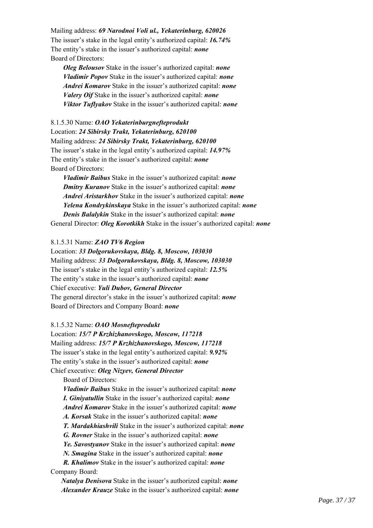Mailing address: *69 Narodnoi Voli ul., Yekaterinburg, 620026* The issuer's stake in the legal entity's authorized capital: *16.74%* The entity's stake in the issuer's authorized capital: *none* Board of Directors:

*Oleg Belousov* Stake in the issuer's authorized capital: *none Vladimir Popov* Stake in the issuer's authorized capital: *none Andrei Komarov* Stake in the issuer's authorized capital: *none Valery Oif* Stake in the issuer's authorized capital: *none Viktor Tuflyakov* Stake in the issuer's authorized capital: *none*

8.1.5.30 Name: *OAO Yekaterinburgnefteprodukt* Location: *24 Sibirsky Trakt, Yekaterinburg, 620100* Mailing address: *24 Sibirsky Trakt, Yekaterinburg, 620100* The issuer's stake in the legal entity's authorized capital: *14.97%* The entity's stake in the issuer's authorized capital: *none* Board of Directors:

*Vladimir Baibus* Stake in the issuer's authorized capital: *none Dmitry Kuranov* Stake in the issuer's authorized capital: *none Andrei Aristarkhov* Stake in the issuer's authorized capital: *none Yelena Kondrykinskaya* Stake in the issuer's authorized capital: *none Denis Balalykin* Stake in the issuer's authorized capital: *none* General Director: *Oleg Korotkikh* Stake in the issuer's authorized capital: *none*

#### 8.1.5.31 Name: *ZAO TV6 Region*

Location: *33 Dolgorukovskaya, Bldg. 8, Moscow, 103030* Mailing address: *33 Dolgorukovskaya, Bldg. 8, Moscow, 103030* The issuer's stake in the legal entity's authorized capital: *12.5%* The entity's stake in the issuer's authorized capital: *none* Chief executive: *Yuli Dubov, General Director* The general director's stake in the issuer's authorized capital: *none* Board of Directors and Company Board: *none*

#### 8.1.5.32 Name: *OAO Mosnefteprodukt*

Location: *15/7 P Krzhizhanovskogo, Moscow, 117218* Mailing address: *15/7 P Krzhizhanovskogo, Moscow, 117218* The issuer's stake in the legal entity's authorized capital: *9.92%* The entity's stake in the issuer's authorized capital: *none* Chief executive: *Oleg Nizyev, General Director*

Board of Directors:

*Vladimir Baibus* Stake in the issuer's authorized capital: *none I. Giniyatullin* Stake in the issuer's authorized capital: *none Andrei Komarov* Stake in the issuer's authorized capital: *none A. Korsak* Stake in the issuer's authorized capital: *none T. Mardakhiashvili* Stake in the issuer's authorized capital: *none G. Rovner* Stake in the issuer's authorized capital: *none Ye. Savostyanov* Stake in the issuer's authorized capital: *none N. Smagina* Stake in the issuer's authorized capital: *none R. Khalimov* Stake in the issuer's authorized capital: *none* Company Board:

*Natalya Denisova* Stake in the issuer's authorized capital: *none Alexander Krauze* Stake in the issuer's authorized capital: *none*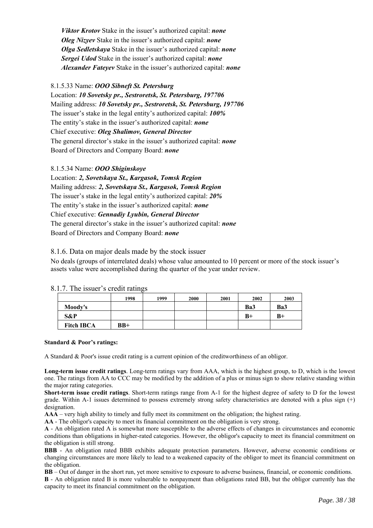*Viktor Krotov* Stake in the issuer's authorized capital: *none Oleg Nizyev* Stake in the issuer's authorized capital: *none Olga Sedletskaya* Stake in the issuer's authorized capital: *none Sergei Udod* Stake in the issuer's authorized capital: *none Alexander Fateyev* Stake in the issuer's authorized capital: *none*

# 8.1.5.33 Name: *OOO Sibneft St. Petersburg*

Location: *10 Sovetsky pr., Sestroretsk, St. Petersburg, 197706*  Mailing address: *10 Sovetsky pr., Sestroretsk, St. Petersburg, 197706*  The issuer's stake in the legal entity's authorized capital: *100%*  The entity's stake in the issuer's authorized capital: *none* Chief executive: *Oleg Shalimov, General Director* The general director's stake in the issuer's authorized capital: *none* Board of Directors and Company Board: *none* 

## 8.1.5.34 Name: *OOO Shiginskoye*

Location: *2, Sovetskaya St., Kargasok, Tomsk Region*  Mailing address: *2, Sovetskaya St., Kargasok, Tomsk Region*  The issuer's stake in the legal entity's authorized capital: *20%*  The entity's stake in the issuer's authorized capital: *none* Chief executive: *Gennadiy Lyubin, General Director* The general director's stake in the issuer's authorized capital: *none* Board of Directors and Company Board: *none*

8.1.6. Data on major deals made by the stock issuer

No deals (groups of interrelated deals) whose value amounted to 10 percent or more of the stock issuer's assets value were accomplished during the quarter of the year under review.

|                   | 1998  | 1999 | 2000 | 2001 | 2002 | 2003 |
|-------------------|-------|------|------|------|------|------|
| Moody's           |       |      |      |      | Ba3  | Ba3  |
| S&P               |       |      |      |      | B+   | $B+$ |
| <b>Fitch IBCA</b> | $BB+$ |      |      |      |      |      |

8.1.7. The issuer's credit ratings

### **Standard & Poor's ratings:**

A Standard & Poor's issue credit rating is a current opinion of the creditworthiness of an obligor.

**Long-term issue credit ratings**. Long-term ratings vary from AAA, which is the highest group, to D, which is the lowest one. The ratings from AA to CCC may be modified by the addition of a plus or minus sign to show relative standing within the major rating categories.

**Short-term issue credit ratings**. Short-term ratings range from A-1 for the highest degree of safety to D for the lowest grade. Within A-1 issues determined to possess extremely strong safety characteristics are denoted with a plus sign  $(+)$ designation.

**AAA** – very high ability to timely and fully meet its commitment on the obligation; the highest rating.

**AA** - The obligor's capacity to meet its financial commitment on the obligation is very strong.

**A** - An obligation rated A is somewhat more susceptible to the adverse effects of changes in circumstances and economic conditions than obligations in higher-rated categories. However, the obligor's capacity to meet its financial commitment on the obligation is still strong.

**BBB** - An obligation rated BBB exhibits adequate protection parameters. However, adverse economic conditions or changing circumstances are more likely to lead to a weakened capacity of the obligor to meet its financial commitment on the obligation.

**BB** – Out of danger in the short run, yet more sensitive to exposure to adverse business, financial, or economic conditions. **B** - An obligation rated B is more vulnerable to nonpayment than obligations rated BB, but the obligor currently has the capacity to meet its financial commitment on the obligation.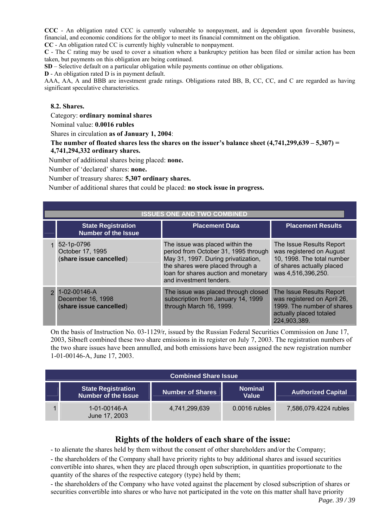**CCC** - An obligation rated CCC is currently vulnerable to nonpayment, and is dependent upon favorable business, financial, and economic conditions for the obligor to meet its financial commitment on the obligation.

**CC** - An obligation rated CC is currently highly vulnerable to nonpayment.

**C** - The C rating may be used to cover a situation where a bankruptcy petition has been filed or similar action has been taken, but payments on this obligation are being continued.

**SD** – Selective default on a particular obligation while payments continue on other obligations.

**D** - An obligation rated D is in payment default.

AAA, AA, A and BBB are investment grade ratings. Obligations rated BB, B, CC, CC, and C are regarded as having significant speculative characteristics.

# **8.2. Shares.**

Category: **ordinary nominal shares**

Nominal value: **0.0016 rubles**

Shares in circulation **as of January 1, 2004**:

**The number of floated shares less the shares on the issuer's balance sheet (4,741,299,639 – 5,307) = 4,741,294,332 ordinary shares.** 

Number of additional shares being placed: **none.**

Number of 'declared' shares: **none.**

Number of treasury shares: **5,307 ordinary shares.**

Number of additional shares that could be placed: **no stock issue in progress.** 

| <b>ISSUES ONE AND TWO COMBINED</b>                                   |                                                                                                                                                                                                                       |                                                                                                                                       |  |  |  |
|----------------------------------------------------------------------|-----------------------------------------------------------------------------------------------------------------------------------------------------------------------------------------------------------------------|---------------------------------------------------------------------------------------------------------------------------------------|--|--|--|
| <b>State Registration</b><br><b>Number of the Issue</b>              | <b>Placement Data</b>                                                                                                                                                                                                 | <b>Placement Results</b>                                                                                                              |  |  |  |
| 52-1p-0796<br>October 17, 1995<br>(share issue cancelled)            | The issue was placed within the<br>period from October 31, 1995 through<br>May 31, 1997. During privatization,<br>the shares were placed through a<br>loan for shares auction and monetary<br>and investment tenders. | The Issue Results Report<br>was registered on August<br>10, 1998. The total number<br>of shares actually placed<br>was 4,516,396,250. |  |  |  |
| $1 - 02 - 00146 - A$<br>December 16, 1998<br>(share issue cancelled) | The issue was placed through closed<br>subscription from January 14, 1999<br>through March 16, 1999.                                                                                                                  | The Issue Results Report<br>was registered on April 26,<br>1999. The number of shares<br>actually placed totaled<br>224,903,389.      |  |  |  |

On the basis of Instruction No. 03-1129/r, issued by the Russian Federal Securities Commission on June 17, 2003, Sibneft combined these two share emissions in its register on July 7, 2003. The registration numbers of the two share issues have been annulled, and both emissions have been assigned the new registration number 1-01-00146-A, June 17, 2003.

| <b>Combined Share Issue</b> |                                                         |                  |                         |                           |  |
|-----------------------------|---------------------------------------------------------|------------------|-------------------------|---------------------------|--|
|                             | <b>State Registration</b><br><b>Number of the Issue</b> | Number of Shares | <b>Nominal</b><br>Value | <b>Authorized Capital</b> |  |
|                             | 1-01-00146-A<br>June 17, 2003                           | 4,741,299,639    | $0.0016$ rubles         | 7,586,079.4224 rubles     |  |

# **Rights of the holders of each share of the issue:**

- to alienate the shares held by them without the consent of other shareholders and/or the Company;

- the shareholders of the Company shall have priority rights to buy additional shares and issued securities convertible into shares, when they are placed through open subscription, in quantities proportionate to the quantity of the shares of the respective category (type) held by them;

- the shareholders of the Company who have voted against the placement by closed subscription of shares or securities convertible into shares or who have not participated in the vote on this matter shall have priority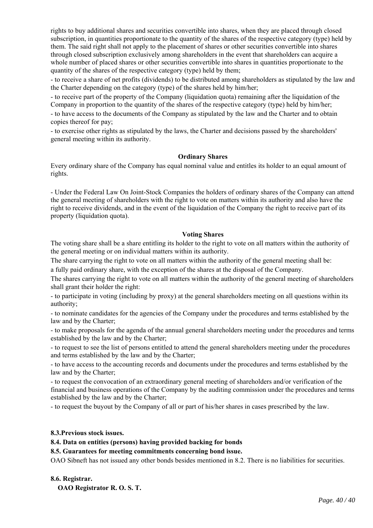rights to buy additional shares and securities convertible into shares, when they are placed through closed subscription, in quantities proportionate to the quantity of the shares of the respective category (type) held by them. The said right shall not apply to the placement of shares or other securities convertible into shares through closed subscription exclusively among shareholders in the event that shareholders can acquire a whole number of placed shares or other securities convertible into shares in quantities proportionate to the quantity of the shares of the respective category (type) held by them;

- to receive a share of net profits (dividends) to be distributed among shareholders as stipulated by the law and the Charter depending on the category (type) of the shares held by him/her;

- to receive part of the property of the Company (liquidation quota) remaining after the liquidation of the Company in proportion to the quantity of the shares of the respective category (type) held by him/her;

- to have access to the documents of the Company as stipulated by the law and the Charter and to obtain copies thereof for pay;

- to exercise other rights as stipulated by the laws, the Charter and decisions passed by the shareholders' general meeting within its authority.

### **Ordinary Shares**

Every ordinary share of the Company has equal nominal value and entitles its holder to an equal amount of rights.

- Under the Federal Law On Joint-Stock Companies the holders of ordinary shares of the Company can attend the general meeting of shareholders with the right to vote on matters within its authority and also have the right to receive dividends, and in the event of the liquidation of the Company the right to receive part of its property (liquidation quota).

# **Voting Shares**

The voting share shall be a share entitling its holder to the right to vote on all matters within the authority of the general meeting or on individual matters within its authority.

The share carrying the right to vote on all matters within the authority of the general meeting shall be:

a fully paid ordinary share, with the exception of the shares at the disposal of the Company.

The shares carrying the right to vote on all matters within the authority of the general meeting of shareholders shall grant their holder the right:

- to participate in voting (including by proxy) at the general shareholders meeting on all questions within its authority;

- to nominate candidates for the agencies of the Company under the procedures and terms established by the law and by the Charter;

- to make proposals for the agenda of the annual general shareholders meeting under the procedures and terms established by the law and by the Charter;

- to request to see the list of persons entitled to attend the general shareholders meeting under the procedures and terms established by the law and by the Charter;

- to have access to the accounting records and documents under the procedures and terms established by the law and by the Charter;

- to request the convocation of an extraordinary general meeting of shareholders and/or verification of the financial and business operations of the Company by the auditing commission under the procedures and terms established by the law and by the Charter;

- to request the buyout by the Company of all or part of his/her shares in cases prescribed by the law.

### **8.3.Previous stock issues.**

# **8.4. Data on entities (persons) having provided backing for bonds**

### **8.5. Guarantees for meeting commitments concerning bond issue.**

OAO Sibneft has not issued any other bonds besides mentioned in 8.2. There is no liabilities for securities.

# **8.6. Registrar.**

**OAO Registrator R. O. S. T.**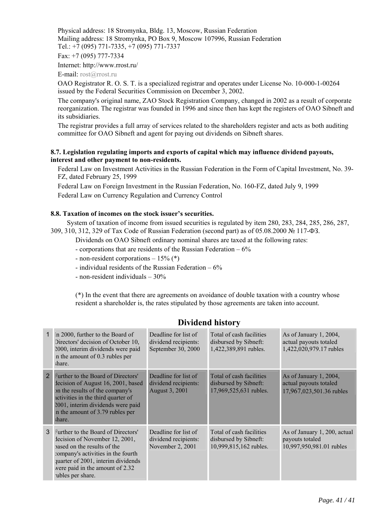Physical address: 18 Stromynka, Bldg. 13, Moscow, Russian Federation Mailing address: 18 Stromynka, PO Box 9, Moscow 107996, Russian Federation Tel.: +7 (095) 771-7335, +7 (095) 771-7337

Fax: +7 (095) 777-7334

Internet: http://www.rrost.ru/

E-mail: rost@rrost.ru

OAO Registrator R. O. S. T. is a specialized registrar and operates under License No. 10-000-1-00264 issued by the Federal Securities Commission on December 3, 2002.

The company's original name, ZAO Stock Registration Company, changed in 2002 as a result of corporate reorganization. The registrar was founded in 1996 and since then has kept the registers of OAO Sibneft and its subsidiaries.

The registrar provides a full array of services related to the shareholders register and acts as both auditing committee for OAO Sibneft and agent for paying out dividends on Sibneft shares.

# **8.7. Legislation regulating imports and exports of capital which may influence dividend payouts, interest and other payment to non-residents.**

Federal Law on Investment Activities in the Russian Federation in the Form of Capital Investment, No. 39- FZ, dated February 25, 1999

Federal Law on Foreign Investment in the Russian Federation, No. 160-FZ, dated July 9, 1999 Federal Law on Currency Regulation and Currency Control

# **8.8. Taxation of incomes on the stock issuer's securities.**

System of taxation of income from issued securities is regulated by item 280, 283, 284, 285, 286, 287, 309, 310, 312, 329 of Tax Code of Russian Federation (second part) as of 05.08.2000 № 117-ФЗ.

Dividends on OAO Sibneft ordinary nominal shares are taxed at the following rates:

- corporations that are residents of the Russian Federation 6%
- non-resident corporations 15% (\*)
- individual residents of the Russian Federation  $-6\%$
- non-resident individuals 30%

(\*) In the event that there are agreements on avoidance of double taxation with a country whose resident a shareholder is, the rates stipulated by those agreements are taken into account.

|                | In 2000, further to the Board of<br>Directors' decision of October 10,<br>2000, interim dividends were paid<br>in the amount of 0.3 rubles per<br>share.                                                                                        | Deadline for list of<br>dividend recipients:<br>September 30, 2000 | Total of cash facilities<br>disbursed by Sibneft:<br>1,422,389,891 rubles.  | As of January 1, 2004,<br>actual payouts totaled<br>1,422,020,979.17 rubles  |
|----------------|-------------------------------------------------------------------------------------------------------------------------------------------------------------------------------------------------------------------------------------------------|--------------------------------------------------------------------|-----------------------------------------------------------------------------|------------------------------------------------------------------------------|
| $\overline{2}$ | Further to the Board of Directors'<br>decision of August 16, 2001, based<br>on the results of the company's<br>activities in the third quarter of<br>2001, interim dividends were paid<br>in the amount of 3.79 rubles per<br>i <sub>bare</sub> | Deadline for list of<br>dividend recipients:<br>August 3, 2001     | Total of cash facilities<br>disbursed by Sibneft:<br>17,969,525,631 rubles. | As of January 1, 2004,<br>actual payouts totaled<br>17,967,023,501.36 rubles |
| 3              | Further to the Board of Directors'<br>decision of November 12, 2001,<br>pased on the results of the<br>company's activities in the fourth<br>quarter of 2001, interim dividends<br>were paid in the amount of 2.32<br>tubles per share.         | Deadline for list of<br>dividend recipients:<br>November 2, 2001   | Total of cash facilities<br>disbursed by Sibneft:<br>10,999,815,162 rubles. | As of January 1, 200, actual<br>payouts totaled<br>10,997,950,981.01 rubles  |

# **Dividend history**